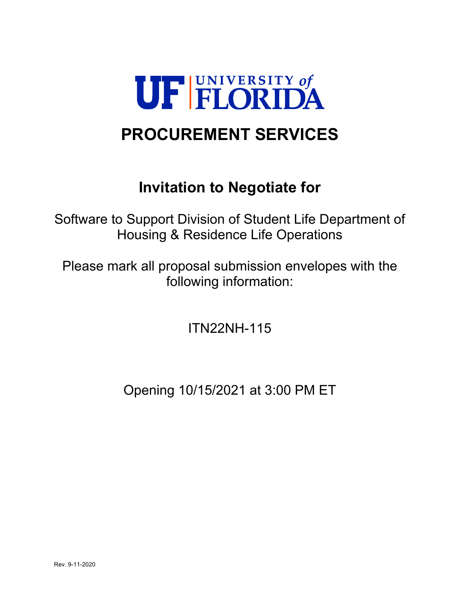

# **PROCUREMENT SERVICES**

## **Invitation to Negotiate for**

Software to Support Division of Student Life Department of Housing & Residence Life Operations

Please mark all proposal submission envelopes with the following information:

ITN22NH-115

Opening 10/15/2021 at 3:00 PM ET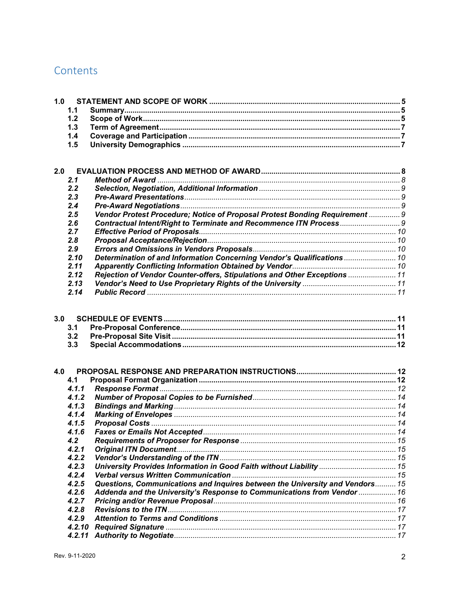## Contents

| 1.0 |        |                                                                              |  |
|-----|--------|------------------------------------------------------------------------------|--|
|     | 1.1    |                                                                              |  |
|     | 1.2    |                                                                              |  |
|     | 1.3    |                                                                              |  |
|     | 1.4    |                                                                              |  |
|     | 1.5    |                                                                              |  |
|     |        |                                                                              |  |
|     |        |                                                                              |  |
| 2.0 |        |                                                                              |  |
|     | 2.1    |                                                                              |  |
|     | 2.2    |                                                                              |  |
|     | 2.3    |                                                                              |  |
|     | 2.4    |                                                                              |  |
|     | 2.5    | Vendor Protest Procedure; Notice of Proposal Protest Bonding Requirement  9  |  |
|     | 2.6    |                                                                              |  |
|     | 2.7    |                                                                              |  |
|     | 2.8    |                                                                              |  |
|     | 2.9    |                                                                              |  |
|     | 2.10   | Determination of and Information Concerning Vendor's Qualifications  10      |  |
|     | 2.11   |                                                                              |  |
|     | 2.12   | Rejection of Vendor Counter-offers, Stipulations and Other Exceptions  11    |  |
|     | 2.13   |                                                                              |  |
|     | 2.14   |                                                                              |  |
|     |        |                                                                              |  |
| 3.0 |        |                                                                              |  |
|     | 3.1    |                                                                              |  |
|     | 3.2    |                                                                              |  |
|     | 3.3    |                                                                              |  |
|     |        |                                                                              |  |
|     |        |                                                                              |  |
| 4.0 |        |                                                                              |  |
|     | 4.1    |                                                                              |  |
|     | 4.1.1  |                                                                              |  |
|     | 4.1.2  |                                                                              |  |
|     | 4.1.3  |                                                                              |  |
|     | 4.1.4  |                                                                              |  |
|     | 4.1.5  |                                                                              |  |
|     | 4.1.6  |                                                                              |  |
|     | 4.2    |                                                                              |  |
|     | 4.2.1  |                                                                              |  |
|     | 4.2.2  |                                                                              |  |
|     | 4.2.3  | University Provides Information in Good Faith without Liability  15          |  |
|     | 4.2.4  |                                                                              |  |
|     | 4.2.5  | Questions, Communications and Inquires between the University and Vendors 15 |  |
|     | 4.2.6  | Addenda and the University's Response to Communications from Vendor  16      |  |
|     | 4.2.7  |                                                                              |  |
|     | 4.2.8  |                                                                              |  |
|     | 4.2.9  |                                                                              |  |
|     | 4.2.10 |                                                                              |  |
|     | 4.2.11 |                                                                              |  |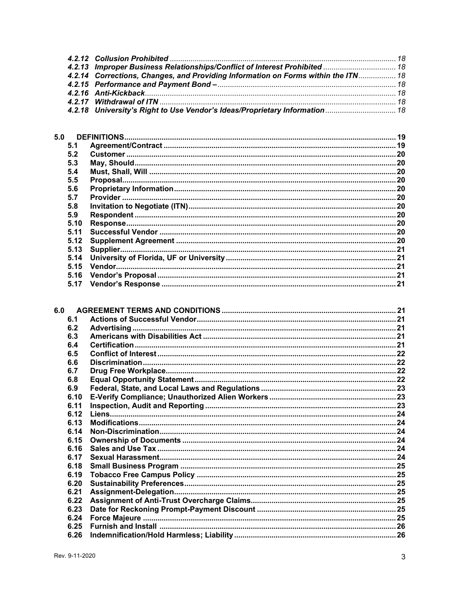| 4.2.13 Improper Business Relationships/Conflict of Interest Prohibited  18        |  |
|-----------------------------------------------------------------------------------|--|
| 4.2.14 Corrections, Changes, and Providing Information on Forms within the ITN 18 |  |
|                                                                                   |  |
|                                                                                   |  |
|                                                                                   |  |
| 4.2.18 University's Right to Use Vendor's Ideas/Proprietary Information 18        |  |

| 5.0  |  |
|------|--|
| 5.1  |  |
| 5.2  |  |
| 5.3  |  |
| 5.4  |  |
| 5.5  |  |
| 5.6  |  |
| 5.7  |  |
| 5.8  |  |
| 5.9  |  |
| 5.10 |  |
| 5.11 |  |
| 5.12 |  |
| 5.13 |  |
| 5.14 |  |
| 5.15 |  |
| 5.16 |  |
| 5.17 |  |

| 6.1  |  |
|------|--|
| 6.2  |  |
| 6.3  |  |
| 6.4  |  |
| 6.5  |  |
| 6.6  |  |
| 6.7  |  |
| 6.8  |  |
| 6.9  |  |
| 6.10 |  |
| 6.11 |  |
| 6.12 |  |
| 6.13 |  |
| 6.14 |  |
| 6.15 |  |
| 6.16 |  |
| 6.17 |  |
| 6.18 |  |
| 6.19 |  |
| 6.20 |  |
| 6.21 |  |
| 6.22 |  |
| 6.23 |  |
| 6.24 |  |
| 6.25 |  |
| 6.26 |  |
|      |  |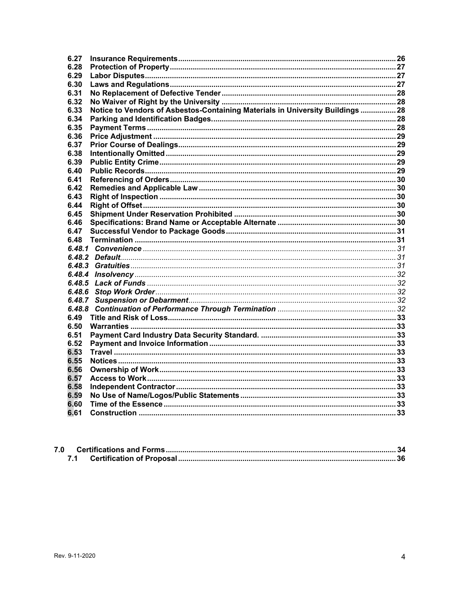| 6.27   |                                                                                |  |
|--------|--------------------------------------------------------------------------------|--|
| 6.28   |                                                                                |  |
| 6.29   |                                                                                |  |
| 6.30   |                                                                                |  |
| 6.31   |                                                                                |  |
| 6.32   |                                                                                |  |
| 6.33   | Notice to Vendors of Asbestos-Containing Materials in University Buildings  28 |  |
| 6.34   |                                                                                |  |
| 6.35   |                                                                                |  |
| 6.36   |                                                                                |  |
| 6.37   |                                                                                |  |
| 6.38   |                                                                                |  |
| 6.39   |                                                                                |  |
| 6.40   |                                                                                |  |
| 6.41   |                                                                                |  |
| 6.42   |                                                                                |  |
| 6.43   |                                                                                |  |
| 6.44   |                                                                                |  |
| 6.45   |                                                                                |  |
| 6.46   |                                                                                |  |
| 6.47   |                                                                                |  |
| 6.48   |                                                                                |  |
|        |                                                                                |  |
|        |                                                                                |  |
| 6.48.3 |                                                                                |  |
| 6.48.4 |                                                                                |  |
| 6.48.5 |                                                                                |  |
| 6.48.6 |                                                                                |  |
| 6.48.7 |                                                                                |  |
| 6.48.8 |                                                                                |  |
| 6.49   |                                                                                |  |
| 6.50   |                                                                                |  |
| 6.51   |                                                                                |  |
| 6.52   |                                                                                |  |
| 6.53   |                                                                                |  |
| 6.55   |                                                                                |  |
| 6.56   |                                                                                |  |
| 6.57   |                                                                                |  |
| 6.58   |                                                                                |  |
| 6.59   |                                                                                |  |
| 6.60   |                                                                                |  |
| 6.61   |                                                                                |  |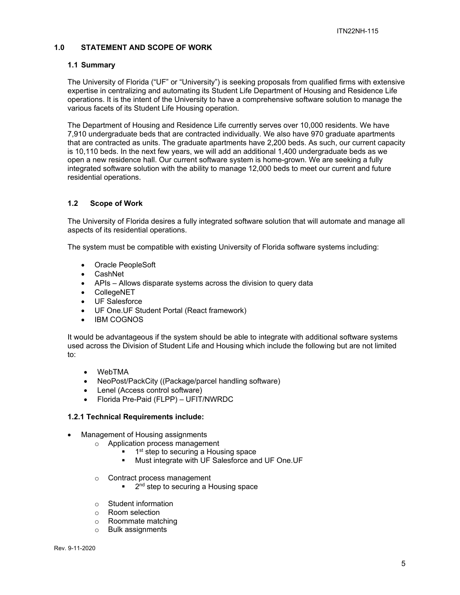### **1.0 STATEMENT AND SCOPE OF WORK**

#### **1.1 Summary**

The University of Florida ("UF" or "University") is seeking proposals from qualified firms with extensive expertise in centralizing and automating its Student Life Department of Housing and Residence Life operations. It is the intent of the University to have a comprehensive software solution to manage the various facets of its Student Life Housing operation.

The Department of Housing and Residence Life currently serves over 10,000 residents. We have 7,910 undergraduate beds that are contracted individually. We also have 970 graduate apartments that are contracted as units. The graduate apartments have 2,200 beds. As such, our current capacity is 10,110 beds. In the next few years, we will add an additional 1,400 undergraduate beds as we open a new residence hall. Our current software system is home-grown. We are seeking a fully integrated software solution with the ability to manage 12,000 beds to meet our current and future residential operations.

### **1.2 Scope of Work**

The University of Florida desires a fully integrated software solution that will automate and manage all aspects of its residential operations.

The system must be compatible with existing University of Florida software systems including:

- Oracle PeopleSoft
- CashNet
- APIs Allows disparate systems across the division to query data
- CollegeNET
- UF Salesforce
- UF One.UF Student Portal (React framework)
- IBM COGNOS

It would be advantageous if the system should be able to integrate with additional software systems used across the Division of Student Life and Housing which include the following but are not limited to:

- WebTMA
- NeoPost/PackCity ((Package/parcel handling software)
- Lenel (Access control software)
- Florida Pre-Paid (FLPP) UFIT/NWRDC

#### **1.2.1 Technical Requirements include:**

- Management of Housing assignments
	- o Application process management
		- 1<sup>st</sup> step to securing a Housing space
		- Must integrate with UF Salesforce and UF One.UF
	- o Contract process management
		- 2<sup>nd</sup> step to securing a Housing space
	- o Student information
	- o Room selection
	- o Roommate matching
	- o Bulk assignments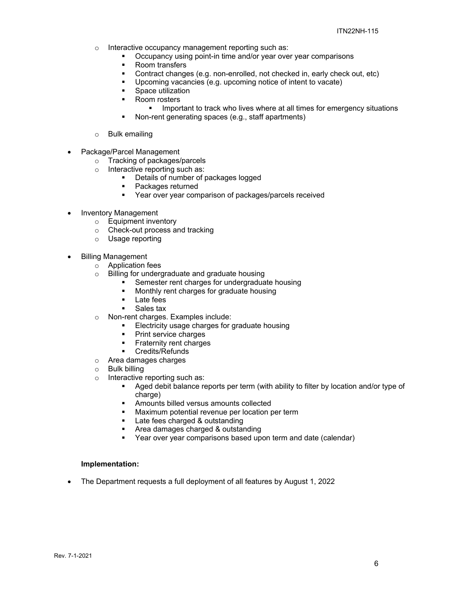- o Interactive occupancy management reporting such as:
	- Occupancy using point-in time and/or year over year comparisons
	- Room transfers
	- Contract changes (e.g. non-enrolled, not checked in, early check out, etc)
	- Upcoming vacancies (e.g. upcoming notice of intent to vacate)
	- **Space utilization**
	- Room rosters
		- **IMPORTANTY IMMOVE THE IMMOVE THE IMMOVE THE IMMOVE IMMOVE IMMOVE IMMOVE IMMOVE IMMOVE IMMOVE IMMOVE IMMOVE IMMOVE IMMOVE IMMOVE IMMOVE IMMOVE IMMOVE IMMOVE IMMOVE IMMOVE IMMOVE IMMOVE IMMOVE IMMOVE IMMOVE IMMOVE IMMOVE IM**
	- Non-rent generating spaces (e.g., staff apartments)
- o Bulk emailing
- Package/Parcel Management
	- o Tracking of packages/parcels
	- o Interactive reporting such as:
		- **•** Details of number of packages logged
		- Packages returned
		- Year over year comparison of packages/parcels received
- Inventory Management
	- o Equipment inventory
	- o Check-out process and tracking
	- o Usage reporting
- Billing Management
	- o Application fees
	- o Billing for undergraduate and graduate housing
		- Semester rent charges for undergraduate housing
			- **Monthly rent charges for graduate housing**
		- **Late fees**
		- Sales tax
	- o Non-rent charges. Examples include:
		- Electricity usage charges for graduate housing
		- **Print service charges**
		- **Fraternity rent charges**
		- **Credits/Refunds**
	- $\circ$  Area damages charges<br>  $\circ$  Bulk billing
	- **Bulk billing**
	- o Interactive reporting such as:
		- Aged debit balance reports per term (with ability to filter by location and/or type of charge)
		- Amounts billed versus amounts collected
		- **Maximum potential revenue per location per term**
		- Late fees charged & outstanding
		- Area damages charged & outstanding
		- Year over year comparisons based upon term and date (calendar)

#### **Implementation:**

The Department requests a full deployment of all features by August 1, 2022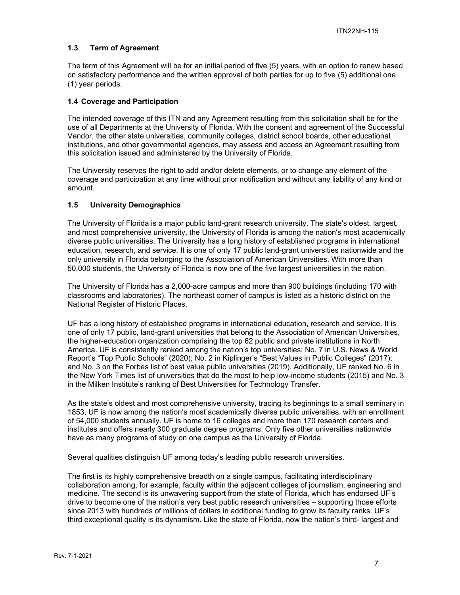## **1.3 Term of Agreement**

The term of this Agreement will be for an initial period of five (5) years, with an option to renew based on satisfactory performance and the written approval of both parties for up to five (5) additional one (1) year periods.

#### **1.4 Coverage and Participation**

The intended coverage of this ITN and any Agreement resulting from this solicitation shall be for the use of all Departments at the University of Florida. With the consent and agreement of the Successful Vendor, the other state universities, community colleges, district school boards, other educational institutions, and other governmental agencies, may assess and access an Agreement resulting from this solicitation issued and administered by the University of Florida.

The University reserves the right to add and/or delete elements, or to change any element of the coverage and participation at any time without prior notification and without any liability of any kind or amount.

### **1.5 University Demographics**

The University of Florida is a major public land-grant research university. The state's oldest, largest, and most comprehensive university, the University of Florida is among the nation's most academically diverse public universities. The University has a long history of established programs in international education, research, and service. It is one of only 17 public land-grant universities nationwide and the only university in Florida belonging to the Association of American Universities. With more than 50,000 students, the University of Florida is now one of the five largest universities in the nation.

The University of Florida has a 2,000-acre campus and more than 900 buildings (including 170 with classrooms and laboratories). The northeast corner of campus is listed as a historic district on the National Register of Historic Places.

UF has a long history of established programs in international education, research and service. It is one of only 17 public, land-grant universities that belong to the Association of American Universities, the higher-education organization comprising the top 62 public and private institutions in North America. UF is consistently ranked among the nation's top universities: No. 7 in U.S. News & World Report's "Top Public Schools" (2020); No. 2 in Kiplinger's "Best Values in Public Colleges" (2017); and No. 3 on the Forbes list of best value public universities (2019). Additionally, UF ranked No. 6 in the New York Times list of universities that do the most to help low-income students (2015) and No. 3 in the Milken Institute's ranking of Best Universities for Technology Transfer.

As the state's oldest and most comprehensive university, tracing its beginnings to a small seminary in 1853, UF is now among the nation's most academically diverse public universities. with an enrollment of 54,000 students annually. UF is home to 16 colleges and more than 170 research centers and institutes and offers nearly 300 graduate degree programs. Only five other universities nationwide have as many programs of study on one campus as the University of Florida.

Several qualities distinguish UF among today's leading public research universities.

The first is its highly comprehensive breadth on a single campus, facilitating interdisciplinary collaboration among, for example, faculty within the adjacent colleges of journalism, engineering and medicine. The second is its unwavering support from the state of Florida, which has endorsed UF's drive to become one of the nation's very best public research universities – supporting those efforts since 2013 with hundreds of millions of dollars in additional funding to grow its faculty ranks. UF's third exceptional quality is its dynamism. Like the state of Florida, now the nation's third- largest and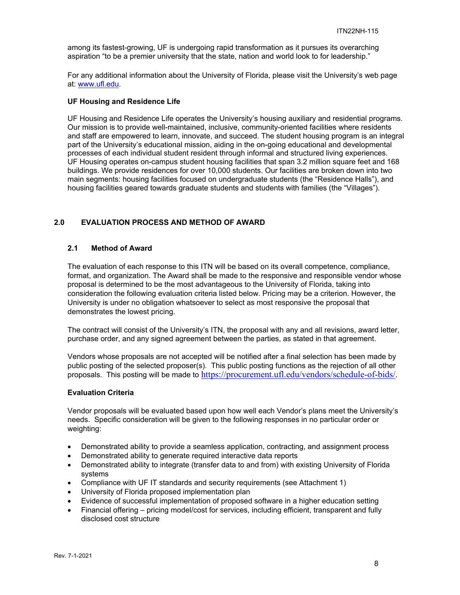among its fastest-growing, UF is undergoing rapid transformation as it pursues its overarching aspiration "to be a premier university that the state, nation and world look to for leadership."

For any additional information about the University of Florida, please visit the University's web page at: www.ufl.edu.

#### **UF Housing and Residence Life**

UF Housing and Residence Life operates the University's housing auxiliary and residential programs. Our mission is to provide well-maintained, inclusive, community-oriented facilities where residents and staff are empowered to learn, innovate, and succeed. The student housing program is an integral part of the University's educational mission, aiding in the on-going educational and developmental processes of each individual student resident through informal and structured living experiences. UF Housing operates on-campus student housing facilities that span 3.2 million square feet and 168 buildings. We provide residences for over 10,000 students. Our facilities are broken down into two main segments: housing facilities focused on undergraduate students (the "Residence Halls"), and housing facilities geared towards graduate students and students with families (the "Villages").

## **2.0 EVALUATION PROCESS AND METHOD OF AWARD**

#### **2.1 Method of Award**

The evaluation of each response to this ITN will be based on its overall competence, compliance, format, and organization. The Award shall be made to the responsive and responsible vendor whose proposal is determined to be the most advantageous to the University of Florida, taking into consideration the following evaluation criteria listed below. Pricing may be a criterion. However, the University is under no obligation whatsoever to select as most responsive the proposal that demonstrates the lowest pricing.

The contract will consist of the University's ITN, the proposal with any and all revisions, award letter, purchase order, and any signed agreement between the parties, as stated in that agreement.

Vendors whose proposals are not accepted will be notified after a final selection has been made by public posting of the selected proposer(s). This public posting functions as the rejection of all other proposals. This posting will be made to https://procurement.ufl.edu/vendors/schedule-of-bids/.

#### **Evaluation Criteria**

Vendor proposals will be evaluated based upon how well each Vendor's plans meet the University's needs. Specific consideration will be given to the following responses in no particular order or weighting:

- Demonstrated ability to provide a seamless application, contracting, and assignment process
- Demonstrated ability to generate required interactive data reports
- Demonstrated ability to integrate (transfer data to and from) with existing University of Florida systems
- Compliance with UF IT standards and security requirements (see Attachment 1)
- University of Florida proposed implementation plan
- Evidence of successful implementation of proposed software in a higher education setting
- Financial offering pricing model/cost for services, including efficient, transparent and fully disclosed cost structure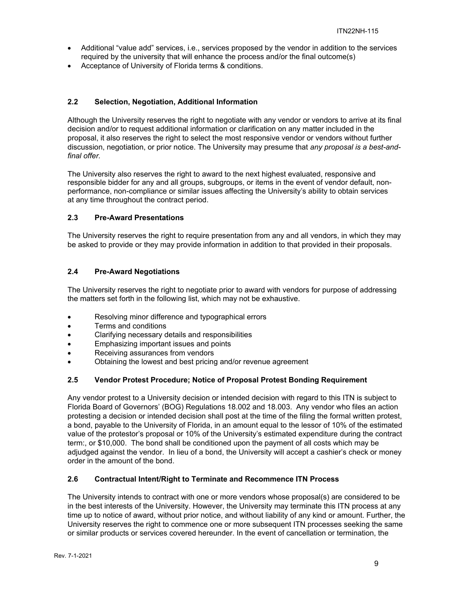- Additional "value add" services, i.e., services proposed by the vendor in addition to the services required by the university that will enhance the process and/or the final outcome(s)
- Acceptance of University of Florida terms & conditions.

## **2.2 Selection, Negotiation, Additional Information**

Although the University reserves the right to negotiate with any vendor or vendors to arrive at its final decision and/or to request additional information or clarification on any matter included in the proposal, it also reserves the right to select the most responsive vendor or vendors without further discussion, negotiation, or prior notice. The University may presume that *any proposal is a best-andfinal offer.* 

The University also reserves the right to award to the next highest evaluated, responsive and responsible bidder for any and all groups, subgroups, or items in the event of vendor default, nonperformance, non-compliance or similar issues affecting the University's ability to obtain services at any time throughout the contract period.

## **2.3 Pre-Award Presentations**

The University reserves the right to require presentation from any and all vendors, in which they may be asked to provide or they may provide information in addition to that provided in their proposals.

## **2.4 Pre-Award Negotiations**

The University reserves the right to negotiate prior to award with vendors for purpose of addressing the matters set forth in the following list, which may not be exhaustive.

- Resolving minor difference and typographical errors
- Terms and conditions
- Clarifying necessary details and responsibilities
- Emphasizing important issues and points
- Receiving assurances from vendors
- Obtaining the lowest and best pricing and/or revenue agreement

## **2.5 Vendor Protest Procedure; Notice of Proposal Protest Bonding Requirement**

Any vendor protest to a University decision or intended decision with regard to this ITN is subject to Florida Board of Governors' (BOG) Regulations 18.002 and 18.003. Any vendor who files an action protesting a decision or intended decision shall post at the time of the filing the formal written protest, a bond, payable to the University of Florida, in an amount equal to the lessor of 10% of the estimated value of the protestor's proposal or 10% of the University's estimated expenditure during the contract term:, or \$10,000. The bond shall be conditioned upon the payment of all costs which may be adjudged against the vendor. In lieu of a bond, the University will accept a cashier's check or money order in the amount of the bond.

## **2.6 Contractual Intent/Right to Terminate and Recommence ITN Process**

The University intends to contract with one or more vendors whose proposal(s) are considered to be in the best interests of the University. However, the University may terminate this ITN process at any time up to notice of award, without prior notice, and without liability of any kind or amount. Further, the University reserves the right to commence one or more subsequent ITN processes seeking the same or similar products or services covered hereunder. In the event of cancellation or termination, the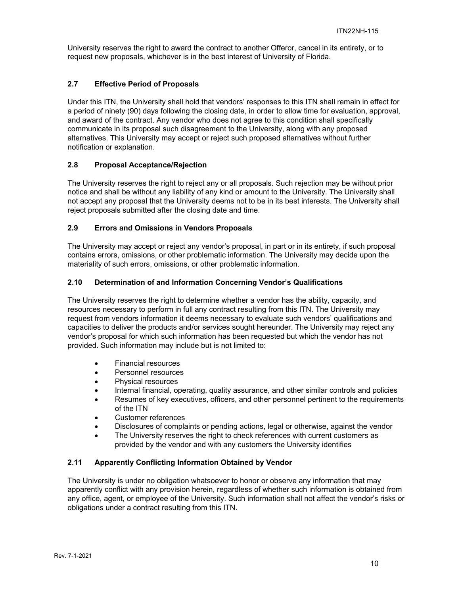University reserves the right to award the contract to another Offeror, cancel in its entirety, or to request new proposals, whichever is in the best interest of University of Florida.

## **2.7 Effective Period of Proposals**

Under this ITN, the University shall hold that vendors' responses to this ITN shall remain in effect for a period of ninety (90) days following the closing date, in order to allow time for evaluation, approval, and award of the contract. Any vendor who does not agree to this condition shall specifically communicate in its proposal such disagreement to the University, along with any proposed alternatives. This University may accept or reject such proposed alternatives without further notification or explanation.

## **2.8 Proposal Acceptance/Rejection**

The University reserves the right to reject any or all proposals. Such rejection may be without prior notice and shall be without any liability of any kind or amount to the University. The University shall not accept any proposal that the University deems not to be in its best interests. The University shall reject proposals submitted after the closing date and time.

## **2.9 Errors and Omissions in Vendors Proposals**

The University may accept or reject any vendor's proposal, in part or in its entirety, if such proposal contains errors, omissions, or other problematic information. The University may decide upon the materiality of such errors, omissions, or other problematic information.

## **2.10 Determination of and Information Concerning Vendor's Qualifications**

The University reserves the right to determine whether a vendor has the ability, capacity, and resources necessary to perform in full any contract resulting from this ITN. The University may request from vendors information it deems necessary to evaluate such vendors' qualifications and capacities to deliver the products and/or services sought hereunder. The University may reject any vendor's proposal for which such information has been requested but which the vendor has not provided. Such information may include but is not limited to:

- Financial resources
- Personnel resources
- Physical resources
- Internal financial, operating, quality assurance, and other similar controls and policies
- Resumes of key executives, officers, and other personnel pertinent to the requirements of the ITN
- Customer references
- Disclosures of complaints or pending actions, legal or otherwise, against the vendor
- The University reserves the right to check references with current customers as provided by the vendor and with any customers the University identifies

## **2.11 Apparently Conflicting Information Obtained by Vendor**

The University is under no obligation whatsoever to honor or observe any information that may apparently conflict with any provision herein, regardless of whether such information is obtained from any office, agent, or employee of the University. Such information shall not affect the vendor's risks or obligations under a contract resulting from this ITN.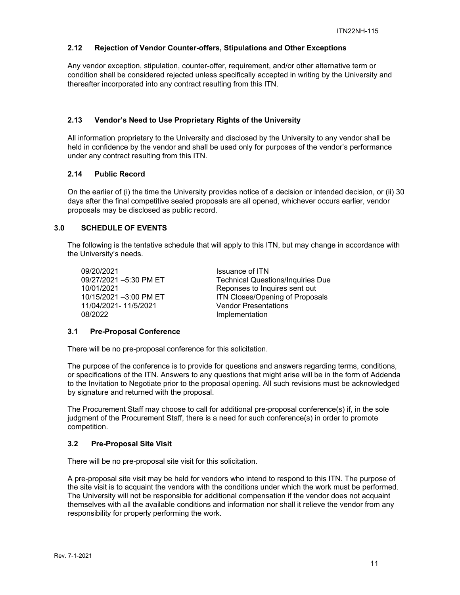## **2.12 Rejection of Vendor Counter-offers, Stipulations and Other Exceptions**

Any vendor exception, stipulation, counter-offer, requirement, and/or other alternative term or condition shall be considered rejected unless specifically accepted in writing by the University and thereafter incorporated into any contract resulting from this ITN.

### **2.13 Vendor's Need to Use Proprietary Rights of the University**

All information proprietary to the University and disclosed by the University to any vendor shall be held in confidence by the vendor and shall be used only for purposes of the vendor's performance under any contract resulting from this ITN.

### **2.14 Public Record**

On the earlier of (i) the time the University provides notice of a decision or intended decision, or (ii) 30 days after the final competitive sealed proposals are all opened, whichever occurs earlier, vendor proposals may be disclosed as public record.

## **3.0 SCHEDULE OF EVENTS**

The following is the tentative schedule that will apply to this ITN, but may change in accordance with the University's needs.

09/20/2021 Issuance of ITN 11/04/2021- 11/5/2021 08/2022 Implementation

09/27/2021 –5:30 PM ET Technical Questions/Inquiries Due 10/01/2021 Reponses to Inquires sent out ITN Closes/Opening of Proposals<br>Vendor Presentations

#### **3.1 Pre-Proposal Conference**

There will be no pre-proposal conference for this solicitation.

The purpose of the conference is to provide for questions and answers regarding terms, conditions, or specifications of the ITN. Answers to any questions that might arise will be in the form of Addenda to the Invitation to Negotiate prior to the proposal opening. All such revisions must be acknowledged by signature and returned with the proposal.

The Procurement Staff may choose to call for additional pre-proposal conference(s) if, in the sole judgment of the Procurement Staff, there is a need for such conference(s) in order to promote competition.

#### **3.2 Pre-Proposal Site Visit**

There will be no pre-proposal site visit for this solicitation.

A pre-proposal site visit may be held for vendors who intend to respond to this ITN. The purpose of the site visit is to acquaint the vendors with the conditions under which the work must be performed. The University will not be responsible for additional compensation if the vendor does not acquaint themselves with all the available conditions and information nor shall it relieve the vendor from any responsibility for properly performing the work.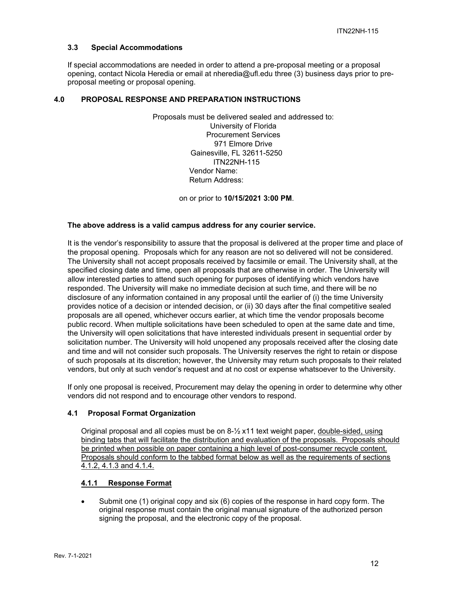#### **3.3 Special Accommodations**

If special accommodations are needed in order to attend a pre-proposal meeting or a proposal opening, contact Nicola Heredia or email at nheredia@ufl.edu three (3) business days prior to preproposal meeting or proposal opening.

## **4.0 PROPOSAL RESPONSE AND PREPARATION INSTRUCTIONS**

Proposals must be delivered sealed and addressed to: University of Florida Procurement Services 971 Elmore Drive Gainesville, FL 32611-5250 ITN22NH-115 Vendor Name: Return Address:

on or prior to **10/15/2021 3:00 PM**.

#### **The above address is a valid campus address for any courier service.**

It is the vendor's responsibility to assure that the proposal is delivered at the proper time and place of the proposal opening. Proposals which for any reason are not so delivered will not be considered. The University shall not accept proposals received by facsimile or email. The University shall, at the specified closing date and time, open all proposals that are otherwise in order. The University will allow interested parties to attend such opening for purposes of identifying which vendors have responded. The University will make no immediate decision at such time, and there will be no disclosure of any information contained in any proposal until the earlier of (i) the time University provides notice of a decision or intended decision, or (ii) 30 days after the final competitive sealed proposals are all opened, whichever occurs earlier, at which time the vendor proposals become public record. When multiple solicitations have been scheduled to open at the same date and time, the University will open solicitations that have interested individuals present in sequential order by solicitation number. The University will hold unopened any proposals received after the closing date and time and will not consider such proposals. The University reserves the right to retain or dispose of such proposals at its discretion; however, the University may return such proposals to their related vendors, but only at such vendor's request and at no cost or expense whatsoever to the University.

If only one proposal is received, Procurement may delay the opening in order to determine why other vendors did not respond and to encourage other vendors to respond.

### **4.1 Proposal Format Organization**

Original proposal and all copies must be on  $8\frac{1}{2}$  x11 text weight paper, double-sided, using binding tabs that will facilitate the distribution and evaluation of the proposals. Proposals should be printed when possible on paper containing a high level of post-consumer recycle content. Proposals should conform to the tabbed format below as well as the requirements of sections 4.1.2, 4.1.3 and 4.1.4.

## **4.1.1 Response Format**

 Submit one (1) original copy and six (6) copies of the response in hard copy form. The original response must contain the original manual signature of the authorized person signing the proposal, and the electronic copy of the proposal.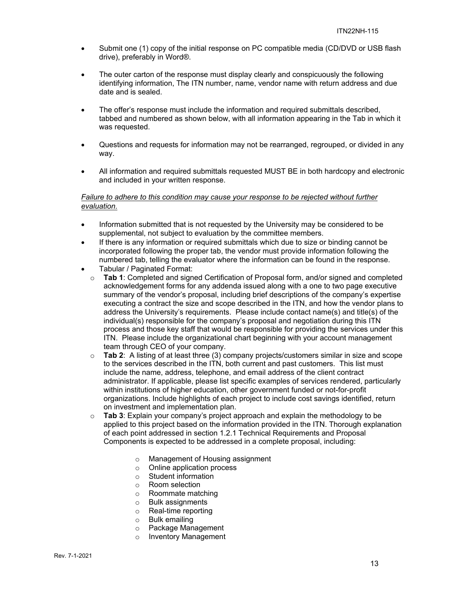- Submit one (1) copy of the initial response on PC compatible media (CD/DVD or USB flash drive), preferably in Word®.
- The outer carton of the response must display clearly and conspicuously the following identifying information, The ITN number, name, vendor name with return address and due date and is sealed.
- The offer's response must include the information and required submittals described, tabbed and numbered as shown below, with all information appearing in the Tab in which it was requested.
- Questions and requests for information may not be rearranged, regrouped, or divided in any way.
- All information and required submittals requested MUST BE in both hardcopy and electronic and included in your written response.

### *Failure to adhere to this condition may cause your response to be rejected without further evaluation.*

- Information submitted that is not requested by the University may be considered to be supplemental, not subject to evaluation by the committee members.
- If there is any information or required submittals which due to size or binding cannot be incorporated following the proper tab, the vendor must provide information following the numbered tab, telling the evaluator where the information can be found in the response.
- Tabular / Paginated Format:
	- o **Tab 1**: Completed and signed Certification of Proposal form, and/or signed and completed acknowledgement forms for any addenda issued along with a one to two page executive summary of the vendor's proposal, including brief descriptions of the company's expertise executing a contract the size and scope described in the ITN, and how the vendor plans to address the University's requirements. Please include contact name(s) and title(s) of the individual(s) responsible for the company's proposal and negotiation during this ITN process and those key staff that would be responsible for providing the services under this ITN. Please include the organizational chart beginning with your account management team through CEO of your company.
	- o **Tab 2**: A listing of at least three (3) company projects/customers similar in size and scope to the services described in the ITN, both current and past customers. This list must include the name, address, telephone, and email address of the client contract administrator. If applicable, please list specific examples of services rendered, particularly within institutions of higher education, other government funded or not-for-profit organizations. Include highlights of each project to include cost savings identified, return on investment and implementation plan.
	- o **Tab 3**: Explain your company's project approach and explain the methodology to be applied to this project based on the information provided in the ITN. Thorough explanation of each point addressed in section 1.2.1 Technical Requirements and Proposal Components is expected to be addressed in a complete proposal, including:
		- o Management of Housing assignment
		- o Online application process
		- o Student information
		- o Room selection
		- o Roommate matching
		- o Bulk assignments
		- o Real-time reporting
		- o Bulk emailing
		- o Package Management
		- o Inventory Management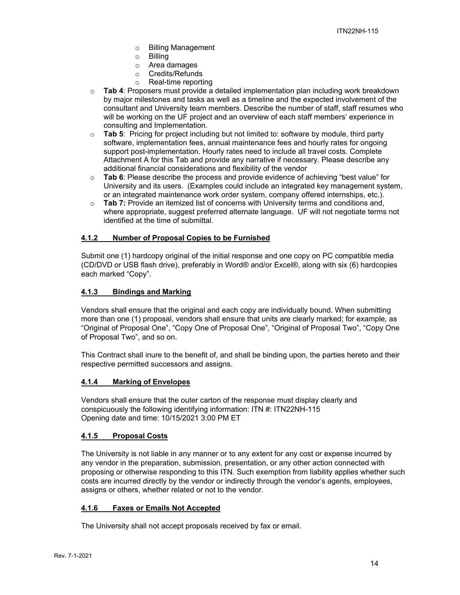- o Billing Management
- o Billing
- o Area damages
- o Credits/Refunds
- o Real-time reporting
- o **Tab 4**: Proposers must provide a detailed implementation plan including work breakdown by major milestones and tasks as well as a timeline and the expected involvement of the consultant and University team members. Describe the number of staff, staff resumes who will be working on the UF project and an overview of each staff members' experience in consulting and Implementation.
- o **Tab 5**: Pricing for project including but not limited to: software by module, third party software, implementation fees, annual maintenance fees and hourly rates for ongoing support post-implementation. Hourly rates need to include all travel costs. Complete Attachment A for this Tab and provide any narrative if necessary. Please describe any additional financial considerations and flexibility of the vendor
- o **Tab 6**: Please describe the process and provide evidence of achieving "best value" for University and its users. (Examples could include an integrated key management system, or an integrated maintenance work order system, company offered internships, etc.).
- o **Tab 7:** Provide an itemized list of concerns with University terms and conditions and, where appropriate, suggest preferred alternate language. UF will not negotiate terms not identified at the time of submittal.

## **4.1.2 Number of Proposal Copies to be Furnished**

Submit one (1) hardcopy original of the initial response and one copy on PC compatible media (CD/DVD or USB flash drive), preferably in Word® and/or Excel®, along with six (6) hardcopies each marked "Copy".

### **4.1.3 Bindings and Marking**

Vendors shall ensure that the original and each copy are individually bound. When submitting more than one (1) proposal, vendors shall ensure that units are clearly marked; for example, as "Original of Proposal One", "Copy One of Proposal One", "Original of Proposal Two", "Copy One of Proposal Two", and so on.

This Contract shall inure to the benefit of, and shall be binding upon, the parties hereto and their respective permitted successors and assigns.

## **4.1.4 Marking of Envelopes**

Vendors shall ensure that the outer carton of the response must display clearly and conspicuously the following identifying information: ITN #: ITN22NH-115 Opening date and time: 10/15/2021 3:00 PM ET

#### **4.1.5 Proposal Costs**

The University is not liable in any manner or to any extent for any cost or expense incurred by any vendor in the preparation, submission, presentation, or any other action connected with proposing or otherwise responding to this ITN. Such exemption from liability applies whether such costs are incurred directly by the vendor or indirectly through the vendor's agents, employees, assigns or others, whether related or not to the vendor.

## **4.1.6 Faxes or Emails Not Accepted**

The University shall not accept proposals received by fax or email.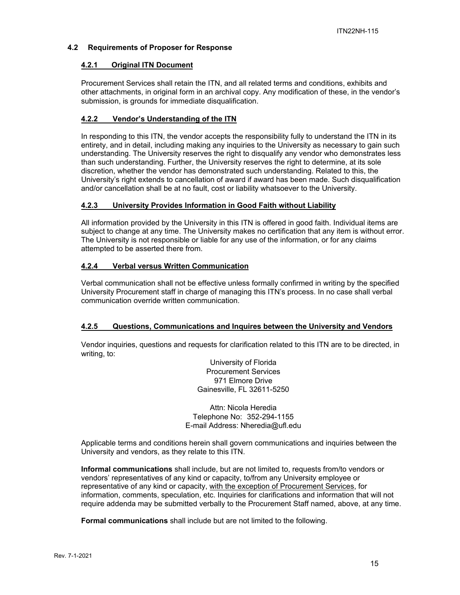## **4.2 Requirements of Proposer for Response**

### **4.2.1 Original ITN Document**

Procurement Services shall retain the ITN, and all related terms and conditions, exhibits and other attachments, in original form in an archival copy. Any modification of these, in the vendor's submission, is grounds for immediate disqualification.

## **4.2.2 Vendor's Understanding of the ITN**

In responding to this ITN, the vendor accepts the responsibility fully to understand the ITN in its entirety, and in detail, including making any inquiries to the University as necessary to gain such understanding. The University reserves the right to disqualify any vendor who demonstrates less than such understanding. Further, the University reserves the right to determine, at its sole discretion, whether the vendor has demonstrated such understanding. Related to this, the University's right extends to cancellation of award if award has been made. Such disqualification and/or cancellation shall be at no fault, cost or liability whatsoever to the University.

### **4.2.3 University Provides Information in Good Faith without Liability**

All information provided by the University in this ITN is offered in good faith. Individual items are subject to change at any time. The University makes no certification that any item is without error. The University is not responsible or liable for any use of the information, or for any claims attempted to be asserted there from.

### **4.2.4 Verbal versus Written Communication**

Verbal communication shall not be effective unless formally confirmed in writing by the specified University Procurement staff in charge of managing this ITN's process. In no case shall verbal communication override written communication.

#### **4.2.5 Questions, Communications and Inquires between the University and Vendors**

Vendor inquiries, questions and requests for clarification related to this ITN are to be directed, in writing, to:

> University of Florida Procurement Services 971 Elmore Drive Gainesville, FL 32611-5250

Attn: Nicola Heredia Telephone No: 352-294-1155 E-mail Address: Nheredia@ufl.edu

Applicable terms and conditions herein shall govern communications and inquiries between the University and vendors, as they relate to this ITN.

**Informal communications** shall include, but are not limited to, requests from/to vendors or vendors' representatives of any kind or capacity, to/from any University employee or representative of any kind or capacity, with the exception of Procurement Services, for information, comments, speculation, etc. Inquiries for clarifications and information that will not require addenda may be submitted verbally to the Procurement Staff named, above, at any time.

**Formal communications** shall include but are not limited to the following.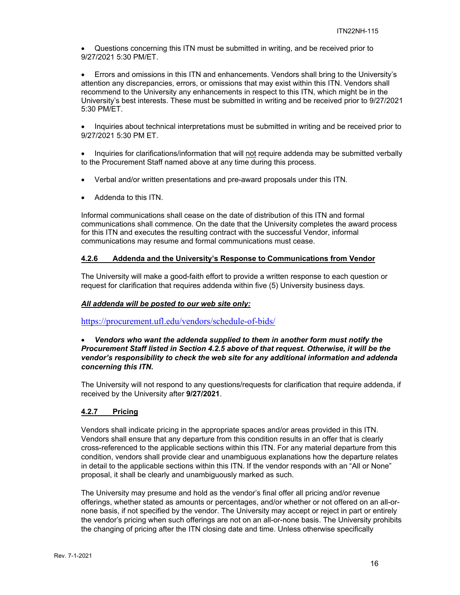Questions concerning this ITN must be submitted in writing, and be received prior to 9/27/2021 5:30 PM/ET.

 Errors and omissions in this ITN and enhancements. Vendors shall bring to the University's attention any discrepancies, errors, or omissions that may exist within this ITN. Vendors shall recommend to the University any enhancements in respect to this ITN, which might be in the University's best interests. These must be submitted in writing and be received prior to 9/27/2021 5:30 PM/ET.

• Inquiries about technical interpretations must be submitted in writing and be received prior to 9/27/2021 5:30 PM ET.

• Inquiries for clarifications/information that will not require addenda may be submitted verbally to the Procurement Staff named above at any time during this process.

- Verbal and/or written presentations and pre-award proposals under this ITN.
- Addenda to this ITN.

Informal communications shall cease on the date of distribution of this ITN and formal communications shall commence. On the date that the University completes the award process for this ITN and executes the resulting contract with the successful Vendor, informal communications may resume and formal communications must cease.

## **4.2.6 Addenda and the University's Response to Communications from Vendor**

The University will make a good-faith effort to provide a written response to each question or request for clarification that requires addenda within five (5) University business days.

#### *All addenda will be posted to our web site only:*

https://procurement.ufl.edu/vendors/schedule-of-bids/

#### *Vendors who want the addenda supplied to them in another form must notify the Procurement Staff listed in Section 4.2.5 above of that request. Otherwise, it will be the vendor's responsibility to check the web site for any additional information and addenda concerning this ITN.*

The University will not respond to any questions/requests for clarification that require addenda, if received by the University after **9/27/2021**.

#### **4.2.7 Pricing**

Vendors shall indicate pricing in the appropriate spaces and/or areas provided in this ITN. Vendors shall ensure that any departure from this condition results in an offer that is clearly cross-referenced to the applicable sections within this ITN. For any material departure from this condition, vendors shall provide clear and unambiguous explanations how the departure relates in detail to the applicable sections within this ITN. If the vendor responds with an "All or None" proposal, it shall be clearly and unambiguously marked as such.

The University may presume and hold as the vendor's final offer all pricing and/or revenue offerings, whether stated as amounts or percentages, and/or whether or not offered on an all-ornone basis, if not specified by the vendor. The University may accept or reject in part or entirely the vendor's pricing when such offerings are not on an all-or-none basis. The University prohibits the changing of pricing after the ITN closing date and time. Unless otherwise specifically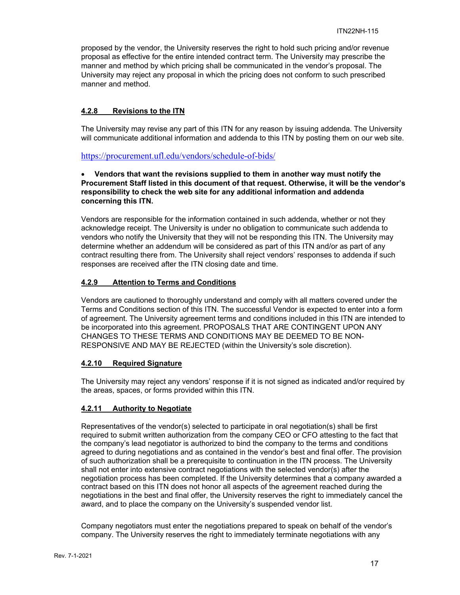proposed by the vendor, the University reserves the right to hold such pricing and/or revenue proposal as effective for the entire intended contract term. The University may prescribe the manner and method by which pricing shall be communicated in the vendor's proposal. The University may reject any proposal in which the pricing does not conform to such prescribed manner and method.

## **4.2.8 Revisions to the ITN**

The University may revise any part of this ITN for any reason by issuing addenda. The University will communicate additional information and addenda to this ITN by posting them on our web site.

https://procurement.ufl.edu/vendors/schedule-of-bids/

#### **Vendors that want the revisions supplied to them in another way must notify the Procurement Staff listed in this document of that request. Otherwise, it will be the vendor's responsibility to check the web site for any additional information and addenda concerning this ITN.**

Vendors are responsible for the information contained in such addenda, whether or not they acknowledge receipt. The University is under no obligation to communicate such addenda to vendors who notify the University that they will not be responding this ITN. The University may determine whether an addendum will be considered as part of this ITN and/or as part of any contract resulting there from. The University shall reject vendors' responses to addenda if such responses are received after the ITN closing date and time.

## **4.2.9 Attention to Terms and Conditions**

Vendors are cautioned to thoroughly understand and comply with all matters covered under the Terms and Conditions section of this ITN. The successful Vendor is expected to enter into a form of agreement. The University agreement terms and conditions included in this ITN are intended to be incorporated into this agreement. PROPOSALS THAT ARE CONTINGENT UPON ANY CHANGES TO THESE TERMS AND CONDITIONS MAY BE DEEMED TO BE NON-RESPONSIVE AND MAY BE REJECTED (within the University's sole discretion).

## **4.2.10 Required Signature**

The University may reject any vendors' response if it is not signed as indicated and/or required by the areas, spaces, or forms provided within this ITN.

## **4.2.11 Authority to Negotiate**

Representatives of the vendor(s) selected to participate in oral negotiation(s) shall be first required to submit written authorization from the company CEO or CFO attesting to the fact that the company's lead negotiator is authorized to bind the company to the terms and conditions agreed to during negotiations and as contained in the vendor's best and final offer. The provision of such authorization shall be a prerequisite to continuation in the ITN process. The University shall not enter into extensive contract negotiations with the selected vendor(s) after the negotiation process has been completed. If the University determines that a company awarded a contract based on this ITN does not honor all aspects of the agreement reached during the negotiations in the best and final offer, the University reserves the right to immediately cancel the award, and to place the company on the University's suspended vendor list.

Company negotiators must enter the negotiations prepared to speak on behalf of the vendor's company. The University reserves the right to immediately terminate negotiations with any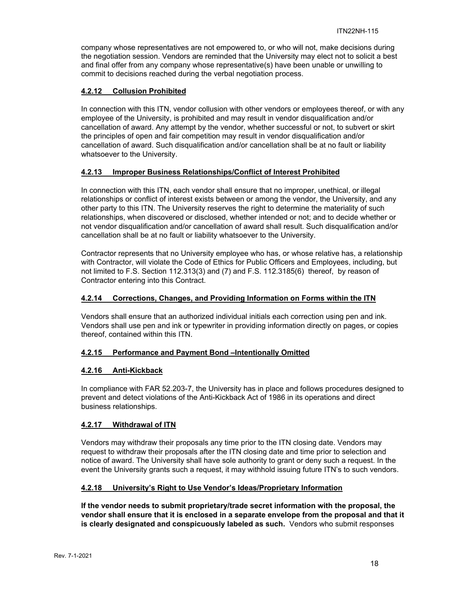company whose representatives are not empowered to, or who will not, make decisions during the negotiation session. Vendors are reminded that the University may elect not to solicit a best and final offer from any company whose representative(s) have been unable or unwilling to commit to decisions reached during the verbal negotiation process.

## **4.2.12 Collusion Prohibited**

In connection with this ITN, vendor collusion with other vendors or employees thereof, or with any employee of the University, is prohibited and may result in vendor disqualification and/or cancellation of award. Any attempt by the vendor, whether successful or not, to subvert or skirt the principles of open and fair competition may result in vendor disqualification and/or cancellation of award. Such disqualification and/or cancellation shall be at no fault or liability whatsoever to the University.

## **4.2.13 Improper Business Relationships/Conflict of Interest Prohibited**

In connection with this ITN, each vendor shall ensure that no improper, unethical, or illegal relationships or conflict of interest exists between or among the vendor, the University, and any other party to this ITN. The University reserves the right to determine the materiality of such relationships, when discovered or disclosed, whether intended or not; and to decide whether or not vendor disqualification and/or cancellation of award shall result. Such disqualification and/or cancellation shall be at no fault or liability whatsoever to the University.

Contractor represents that no University employee who has, or whose relative has, a relationship with Contractor, will violate the Code of Ethics for Public Officers and Employees, including, but not limited to F.S. Section 112.313(3) and (7) and F.S. 112.3185(6) thereof, by reason of Contractor entering into this Contract.

## **4.2.14 Corrections, Changes, and Providing Information on Forms within the ITN**

Vendors shall ensure that an authorized individual initials each correction using pen and ink. Vendors shall use pen and ink or typewriter in providing information directly on pages, or copies thereof, contained within this ITN.

## **4.2.15 Performance and Payment Bond –Intentionally Omitted**

#### **4.2.16 Anti-Kickback**

In compliance with FAR 52.203-7, the University has in place and follows procedures designed to prevent and detect violations of the Anti-Kickback Act of 1986 in its operations and direct business relationships.

#### **4.2.17 Withdrawal of ITN**

Vendors may withdraw their proposals any time prior to the ITN closing date. Vendors may request to withdraw their proposals after the ITN closing date and time prior to selection and notice of award. The University shall have sole authority to grant or deny such a request. In the event the University grants such a request, it may withhold issuing future ITN's to such vendors.

#### **4.2.18 University's Right to Use Vendor's Ideas/Proprietary Information**

**If the vendor needs to submit proprietary/trade secret information with the proposal, the vendor shall ensure that it is enclosed in a separate envelope from the proposal and that it is clearly designated and conspicuously labeled as such.** Vendors who submit responses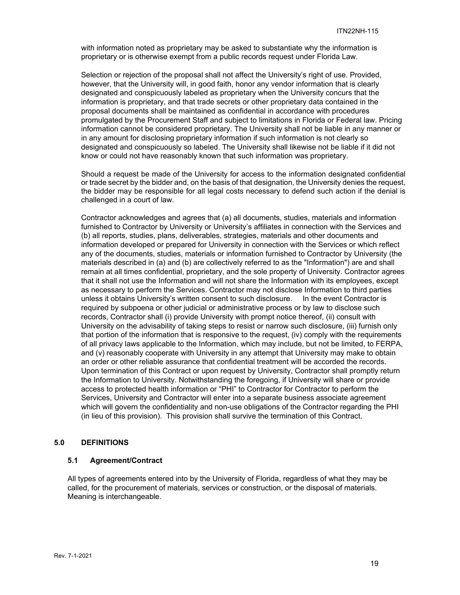with information noted as proprietary may be asked to substantiate why the information is proprietary or is otherwise exempt from a public records request under Florida Law.

Selection or rejection of the proposal shall not affect the University's right of use. Provided, however, that the University will, in good faith, honor any vendor information that is clearly designated and conspicuously labeled as proprietary when the University concurs that the information is proprietary, and that trade secrets or other proprietary data contained in the proposal documents shall be maintained as confidential in accordance with procedures promulgated by the Procurement Staff and subject to limitations in Florida or Federal law. Pricing information cannot be considered proprietary. The University shall not be liable in any manner or in any amount for disclosing proprietary information if such information is not clearly so designated and conspicuously so labeled. The University shall likewise not be liable if it did not know or could not have reasonably known that such information was proprietary.

Should a request be made of the University for access to the information designated confidential or trade secret by the bidder and, on the basis of that designation, the University denies the request, the bidder may be responsible for all legal costs necessary to defend such action if the denial is challenged in a court of law.

Contractor acknowledges and agrees that (a) all documents, studies, materials and information furnished to Contractor by University or University's affiliates in connection with the Services and (b) all reports, studies, plans, deliverables, strategies, materials and other documents and information developed or prepared for University in connection with the Services or which reflect any of the documents, studies, materials or information furnished to Contractor by University (the materials described in (a) and (b) are collectively referred to as the "Information") are and shall remain at all times confidential, proprietary, and the sole property of University. Contractor agrees that it shall not use the Information and will not share the Information with its employees, except as necessary to perform the Services. Contractor may not disclose Information to third parties unless it obtains University's written consent to such disclosure. In the event Contractor is required by subpoena or other judicial or administrative process or by law to disclose such records, Contractor shall (i) provide University with prompt notice thereof, (ii) consult with University on the advisability of taking steps to resist or narrow such disclosure, (iii) furnish only that portion of the information that is responsive to the request, (iv) comply with the requirements of all privacy laws applicable to the Information, which may include, but not be limited, to FERPA, and (v) reasonably cooperate with University in any attempt that University may make to obtain an order or other reliable assurance that confidential treatment will be accorded the records. Upon termination of this Contract or upon request by University, Contractor shall promptly return the Information to University. Notwithstanding the foregoing, if University will share or provide access to protected health information or "PHI" to Contractor for Contractor to perform the Services, University and Contractor will enter into a separate business associate agreement which will govern the confidentiality and non-use obligations of the Contractor regarding the PHI (in lieu of this provision). This provision shall survive the termination of this Contract.

#### **5.0 DEFINITIONS**

#### **5.1 Agreement/Contract**

All types of agreements entered into by the University of Florida, regardless of what they may be called, for the procurement of materials, services or construction, or the disposal of materials. Meaning is interchangeable.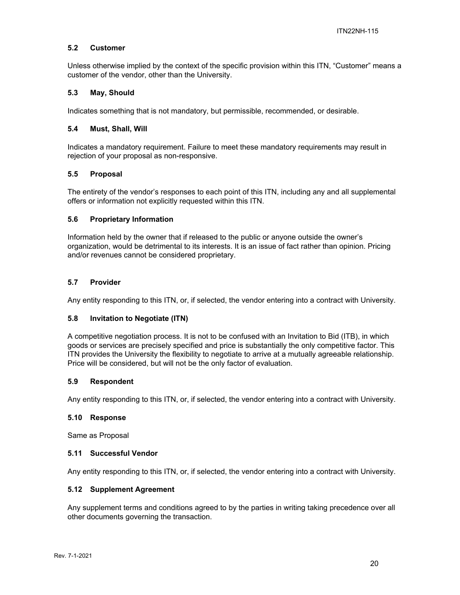#### **5.2 Customer**

Unless otherwise implied by the context of the specific provision within this ITN, "Customer" means a customer of the vendor, other than the University.

#### **5.3 May, Should**

Indicates something that is not mandatory, but permissible, recommended, or desirable.

#### **5.4 Must, Shall, Will**

Indicates a mandatory requirement. Failure to meet these mandatory requirements may result in rejection of your proposal as non-responsive.

### **5.5 Proposal**

The entirety of the vendor's responses to each point of this ITN, including any and all supplemental offers or information not explicitly requested within this ITN.

### **5.6 Proprietary Information**

Information held by the owner that if released to the public or anyone outside the owner's organization, would be detrimental to its interests. It is an issue of fact rather than opinion. Pricing and/or revenues cannot be considered proprietary.

### **5.7 Provider**

Any entity responding to this ITN, or, if selected, the vendor entering into a contract with University.

#### **5.8 Invitation to Negotiate (ITN)**

A competitive negotiation process. It is not to be confused with an Invitation to Bid (ITB), in which goods or services are precisely specified and price is substantially the only competitive factor. This ITN provides the University the flexibility to negotiate to arrive at a mutually agreeable relationship. Price will be considered, but will not be the only factor of evaluation.

#### **5.9 Respondent**

Any entity responding to this ITN, or, if selected, the vendor entering into a contract with University.

#### **5.10 Response**

Same as Proposal

#### **5.11 Successful Vendor**

Any entity responding to this ITN, or, if selected, the vendor entering into a contract with University.

#### **5.12 Supplement Agreement**

Any supplement terms and conditions agreed to by the parties in writing taking precedence over all other documents governing the transaction.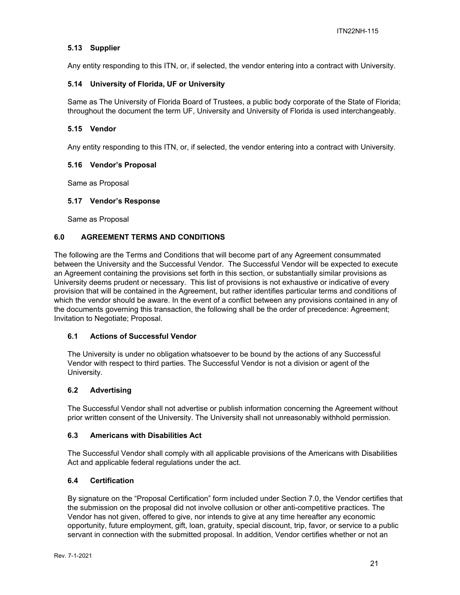## **5.13 Supplier**

Any entity responding to this ITN, or, if selected, the vendor entering into a contract with University.

#### **5.14 University of Florida, UF or University**

Same as The University of Florida Board of Trustees, a public body corporate of the State of Florida; throughout the document the term UF, University and University of Florida is used interchangeably.

#### **5.15 Vendor**

Any entity responding to this ITN, or, if selected, the vendor entering into a contract with University.

#### **5.16 Vendor's Proposal**

Same as Proposal

#### **5.17 Vendor's Response**

Same as Proposal

## **6.0 AGREEMENT TERMS AND CONDITIONS**

The following are the Terms and Conditions that will become part of any Agreement consummated between the University and the Successful Vendor. The Successful Vendor will be expected to execute an Agreement containing the provisions set forth in this section, or substantially similar provisions as University deems prudent or necessary. This list of provisions is not exhaustive or indicative of every provision that will be contained in the Agreement, but rather identifies particular terms and conditions of which the vendor should be aware. In the event of a conflict between any provisions contained in any of the documents governing this transaction, the following shall be the order of precedence: Agreement; Invitation to Negotiate; Proposal.

#### **6.1 Actions of Successful Vendor**

The University is under no obligation whatsoever to be bound by the actions of any Successful Vendor with respect to third parties. The Successful Vendor is not a division or agent of the University.

#### **6.2 Advertising**

The Successful Vendor shall not advertise or publish information concerning the Agreement without prior written consent of the University. The University shall not unreasonably withhold permission.

#### **6.3 Americans with Disabilities Act**

The Successful Vendor shall comply with all applicable provisions of the Americans with Disabilities Act and applicable federal regulations under the act.

#### **6.4 Certification**

By signature on the "Proposal Certification" form included under Section 7.0, the Vendor certifies that the submission on the proposal did not involve collusion or other anti-competitive practices. The Vendor has not given, offered to give, nor intends to give at any time hereafter any economic opportunity, future employment, gift, loan, gratuity, special discount, trip, favor, or service to a public servant in connection with the submitted proposal. In addition, Vendor certifies whether or not an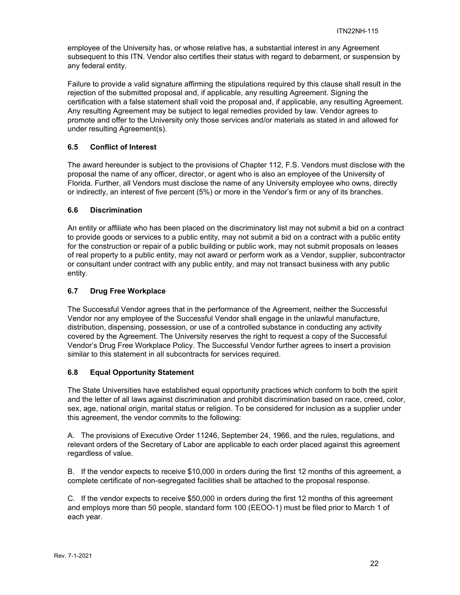employee of the University has, or whose relative has, a substantial interest in any Agreement subsequent to this ITN. Vendor also certifies their status with regard to debarment, or suspension by any federal entity.

Failure to provide a valid signature affirming the stipulations required by this clause shall result in the rejection of the submitted proposal and, if applicable, any resulting Agreement. Signing the certification with a false statement shall void the proposal and, if applicable, any resulting Agreement. Any resulting Agreement may be subject to legal remedies provided by law. Vendor agrees to promote and offer to the University only those services and/or materials as stated in and allowed for under resulting Agreement(s).

## **6.5 Conflict of Interest**

The award hereunder is subject to the provisions of Chapter 112, F.S. Vendors must disclose with the proposal the name of any officer, director, or agent who is also an employee of the University of Florida. Further, all Vendors must disclose the name of any University employee who owns, directly or indirectly, an interest of five percent (5%) or more in the Vendor's firm or any of its branches.

## **6.6 Discrimination**

An entity or affiliate who has been placed on the discriminatory list may not submit a bid on a contract to provide goods or services to a public entity, may not submit a bid on a contract with a public entity for the construction or repair of a public building or public work, may not submit proposals on leases of real property to a public entity, may not award or perform work as a Vendor, supplier, subcontractor or consultant under contract with any public entity, and may not transact business with any public entity.

## **6.7 Drug Free Workplace**

The Successful Vendor agrees that in the performance of the Agreement, neither the Successful Vendor nor any employee of the Successful Vendor shall engage in the unlawful manufacture, distribution, dispensing, possession, or use of a controlled substance in conducting any activity covered by the Agreement. The University reserves the right to request a copy of the Successful Vendor's Drug Free Workplace Policy. The Successful Vendor further agrees to insert a provision similar to this statement in all subcontracts for services required.

## **6.8 Equal Opportunity Statement**

The State Universities have established equal opportunity practices which conform to both the spirit and the letter of all laws against discrimination and prohibit discrimination based on race, creed, color, sex, age, national origin, marital status or religion. To be considered for inclusion as a supplier under this agreement, the vendor commits to the following:

A. The provisions of Executive Order 11246, September 24, 1966, and the rules, regulations, and relevant orders of the Secretary of Labor are applicable to each order placed against this agreement regardless of value.

B. If the vendor expects to receive \$10,000 in orders during the first 12 months of this agreement, a complete certificate of non-segregated facilities shall be attached to the proposal response.

C. If the vendor expects to receive \$50,000 in orders during the first 12 months of this agreement and employs more than 50 people, standard form 100 (EEOO-1) must be filed prior to March 1 of each year.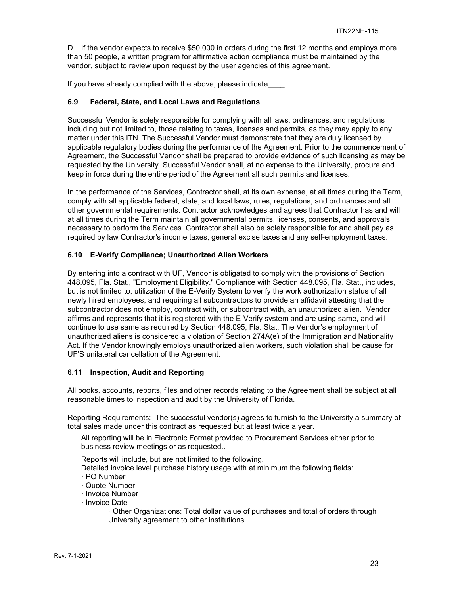D. If the vendor expects to receive \$50,000 in orders during the first 12 months and employs more than 50 people, a written program for affirmative action compliance must be maintained by the vendor, subject to review upon request by the user agencies of this agreement.

If you have already complied with the above, please indicate

## **6.9 Federal, State, and Local Laws and Regulations**

Successful Vendor is solely responsible for complying with all laws, ordinances, and regulations including but not limited to, those relating to taxes, licenses and permits, as they may apply to any matter under this ITN. The Successful Vendor must demonstrate that they are duly licensed by applicable regulatory bodies during the performance of the Agreement. Prior to the commencement of Agreement, the Successful Vendor shall be prepared to provide evidence of such licensing as may be requested by the University. Successful Vendor shall, at no expense to the University, procure and keep in force during the entire period of the Agreement all such permits and licenses.

In the performance of the Services, Contractor shall, at its own expense, at all times during the Term, comply with all applicable federal, state, and local laws, rules, regulations, and ordinances and all other governmental requirements. Contractor acknowledges and agrees that Contractor has and will at all times during the Term maintain all governmental permits, licenses, consents, and approvals necessary to perform the Services. Contractor shall also be solely responsible for and shall pay as required by law Contractor's income taxes, general excise taxes and any self-employment taxes.

### **6.10 E-Verify Compliance; Unauthorized Alien Workers**

By entering into a contract with UF, Vendor is obligated to comply with the provisions of Section 448.095, Fla. Stat., "Employment Eligibility." Compliance with Section 448.095, Fla. Stat., includes, but is not limited to, utilization of the E-Verify System to verify the work authorization status of all newly hired employees, and requiring all subcontractors to provide an affidavit attesting that the subcontractor does not employ, contract with, or subcontract with, an unauthorized alien. Vendor affirms and represents that it is registered with the E-Verify system and are using same, and will continue to use same as required by Section 448.095, Fla. Stat. The Vendor's employment of unauthorized aliens is considered a violation of Section 274A(e) of the Immigration and Nationality Act. If the Vendor knowingly employs unauthorized alien workers, such violation shall be cause for UF'S unilateral cancellation of the Agreement.

## **6.11 Inspection, Audit and Reporting**

All books, accounts, reports, files and other records relating to the Agreement shall be subject at all reasonable times to inspection and audit by the University of Florida.

Reporting Requirements: The successful vendor(s) agrees to furnish to the University a summary of total sales made under this contract as requested but at least twice a year.

All reporting will be in Electronic Format provided to Procurement Services either prior to business review meetings or as requested..

Reports will include, but are not limited to the following.

Detailed invoice level purchase history usage with at minimum the following fields:

- ꞏ PO Number
- ꞏ Quote Number
- ꞏ Invoice Number
- ꞏ Invoice Date
	- ꞏ Other Organizations: Total dollar value of purchases and total of orders through University agreement to other institutions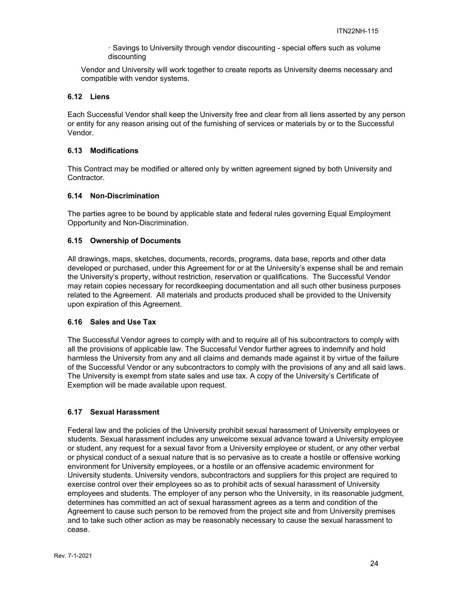ꞏ Savings to University through vendor discounting - special offers such as volume discounting

Vendor and University will work together to create reports as University deems necessary and compatible with vendor systems.

## **6.12 Liens**

Each Successful Vendor shall keep the University free and clear from all liens asserted by any person or entity for any reason arising out of the furnishing of services or materials by or to the Successful Vendor.

### **6.13 Modifications**

This Contract may be modified or altered only by written agreement signed by both University and Contractor.

### **6.14 Non-Discrimination**

The parties agree to be bound by applicable state and federal rules governing Equal Employment Opportunity and Non-Discrimination.

### **6.15 Ownership of Documents**

All drawings, maps, sketches, documents, records, programs, data base, reports and other data developed or purchased, under this Agreement for or at the University's expense shall be and remain the University's property, without restriction, reservation or qualifications. The Successful Vendor may retain copies necessary for recordkeeping documentation and all such other business purposes related to the Agreement. All materials and products produced shall be provided to the University upon expiration of this Agreement.

#### **6.16 Sales and Use Tax**

The Successful Vendor agrees to comply with and to require all of his subcontractors to comply with all the provisions of applicable law. The Successful Vendor further agrees to indemnify and hold harmless the University from any and all claims and demands made against it by virtue of the failure of the Successful Vendor or any subcontractors to comply with the provisions of any and all said laws. The University is exempt from state sales and use tax. A copy of the University's Certificate of Exemption will be made available upon request.

#### **6.17 Sexual Harassment**

Federal law and the policies of the University prohibit sexual harassment of University employees or students. Sexual harassment includes any unwelcome sexual advance toward a University employee or student, any request for a sexual favor from a University employee or student, or any other verbal or physical conduct of a sexual nature that is so pervasive as to create a hostile or offensive working environment for University employees, or a hostile or an offensive academic environment for University students. University vendors, subcontractors and suppliers for this project are required to exercise control over their employees so as to prohibit acts of sexual harassment of University employees and students. The employer of any person who the University, in its reasonable judgment, determines has committed an act of sexual harassment agrees as a term and condition of the Agreement to cause such person to be removed from the project site and from University premises and to take such other action as may be reasonably necessary to cause the sexual harassment to cease.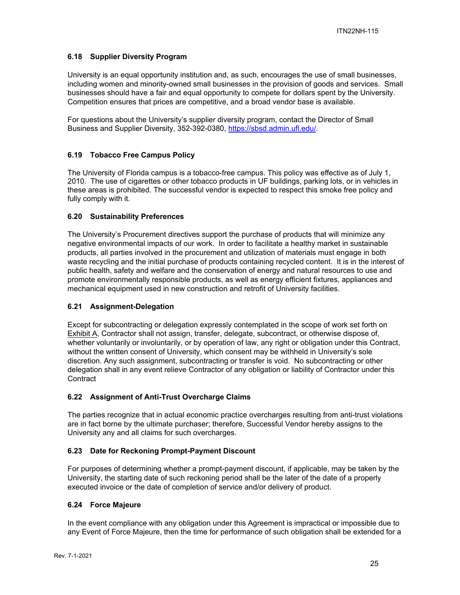## **6.18 Supplier Diversity Program**

University is an equal opportunity institution and, as such, encourages the use of small businesses, including women and minority-owned small businesses in the provision of goods and services. Small businesses should have a fair and equal opportunity to compete for dollars spent by the University. Competition ensures that prices are competitive, and a broad vendor base is available.

For questions about the University's supplier diversity program, contact the Director of Small Business and Supplier Diversity, 352-392-0380, https://sbsd.admin.ufl.edu/.

## **6.19 Tobacco Free Campus Policy**

The University of Florida campus is a tobacco-free campus. This policy was effective as of July 1, 2010. The use of cigarettes or other tobacco products in UF buildings, parking lots, or in vehicles in these areas is prohibited. The successful vendor is expected to respect this smoke free policy and fully comply with it.

## **6.20 Sustainability Preferences**

The University's Procurement directives support the purchase of products that will minimize any negative environmental impacts of our work. In order to facilitate a healthy market in sustainable products, all parties involved in the procurement and utilization of materials must engage in both waste recycling and the initial purchase of products containing recycled content. It is in the interest of public health, safety and welfare and the conservation of energy and natural resources to use and promote environmentally responsible products, as well as energy efficient fixtures, appliances and mechanical equipment used in new construction and retrofit of University facilities.

#### **6.21 Assignment-Delegation**

Except for subcontracting or delegation expressly contemplated in the scope of work set forth on Exhibit A, Contractor shall not assign, transfer, delegate, subcontract, or otherwise dispose of, whether voluntarily or involuntarily, or by operation of law, any right or obligation under this Contract, without the written consent of University, which consent may be withheld in University's sole discretion. Any such assignment, subcontracting or transfer is void. No subcontracting or other delegation shall in any event relieve Contractor of any obligation or liability of Contractor under this **Contract** 

## **6.22 Assignment of Anti-Trust Overcharge Claims**

The parties recognize that in actual economic practice overcharges resulting from anti-trust violations are in fact borne by the ultimate purchaser; therefore, Successful Vendor hereby assigns to the University any and all claims for such overcharges.

## **6.23 Date for Reckoning Prompt-Payment Discount**

For purposes of determining whether a prompt-payment discount, if applicable, may be taken by the University, the starting date of such reckoning period shall be the later of the date of a properly executed invoice or the date of completion of service and/or delivery of product.

#### **6.24 Force Majeure**

In the event compliance with any obligation under this Agreement is impractical or impossible due to any Event of Force Majeure, then the time for performance of such obligation shall be extended for a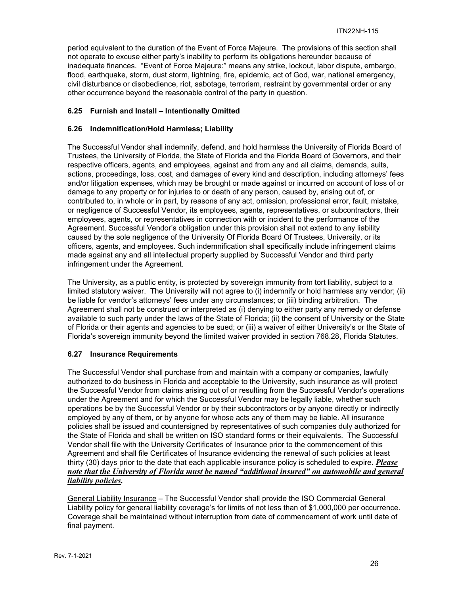period equivalent to the duration of the Event of Force Majeure. The provisions of this section shall not operate to excuse either party's inability to perform its obligations hereunder because of inadequate finances. "Event of Force Majeure:" means any strike, lockout, labor dispute, embargo, flood, earthquake, storm, dust storm, lightning, fire, epidemic, act of God, war, national emergency, civil disturbance or disobedience, riot, sabotage, terrorism, restraint by governmental order or any other occurrence beyond the reasonable control of the party in question.

## **6.25 Furnish and Install – Intentionally Omitted**

## **6.26 Indemnification/Hold Harmless; Liability**

The Successful Vendor shall indemnify, defend, and hold harmless the University of Florida Board of Trustees, the University of Florida, the State of Florida and the Florida Board of Governors, and their respective officers, agents, and employees, against and from any and all claims, demands, suits, actions, proceedings, loss, cost, and damages of every kind and description, including attorneys' fees and/or litigation expenses, which may be brought or made against or incurred on account of loss of or damage to any property or for injuries to or death of any person, caused by, arising out of, or contributed to, in whole or in part, by reasons of any act, omission, professional error, fault, mistake, or negligence of Successful Vendor, its employees, agents, representatives, or subcontractors, their employees, agents, or representatives in connection with or incident to the performance of the Agreement. Successful Vendor's obligation under this provision shall not extend to any liability caused by the sole negligence of the University Of Florida Board Of Trustees, University, or its officers, agents, and employees. Such indemnification shall specifically include infringement claims made against any and all intellectual property supplied by Successful Vendor and third party infringement under the Agreement.

The University, as a public entity, is protected by sovereign immunity from tort liability, subject to a limited statutory waiver. The University will not agree to (i) indemnify or hold harmless any vendor; (ii) be liable for vendor's attorneys' fees under any circumstances; or (iii) binding arbitration. The Agreement shall not be construed or interpreted as (i) denying to either party any remedy or defense available to such party under the laws of the State of Florida; (ii) the consent of University or the State of Florida or their agents and agencies to be sued; or (iii) a waiver of either University's or the State of Florida's sovereign immunity beyond the limited waiver provided in section 768.28, Florida Statutes.

## **6.27 Insurance Requirements**

The Successful Vendor shall purchase from and maintain with a company or companies, lawfully authorized to do business in Florida and acceptable to the University, such insurance as will protect the Successful Vendor from claims arising out of or resulting from the Successful Vendor's operations under the Agreement and for which the Successful Vendor may be legally liable, whether such operations be by the Successful Vendor or by their subcontractors or by anyone directly or indirectly employed by any of them, or by anyone for whose acts any of them may be liable. All insurance policies shall be issued and countersigned by representatives of such companies duly authorized for the State of Florida and shall be written on ISO standard forms or their equivalents. The Successful Vendor shall file with the University Certificates of Insurance prior to the commencement of this Agreement and shall file Certificates of Insurance evidencing the renewal of such policies at least thirty (30) days prior to the date that each applicable insurance policy is scheduled to expire. *Please note that the University of Florida must be named "additional insured" on automobile and general liability policies.*

General Liability Insurance – The Successful Vendor shall provide the ISO Commercial General Liability policy for general liability coverage's for limits of not less than of \$1,000,000 per occurrence. Coverage shall be maintained without interruption from date of commencement of work until date of final payment.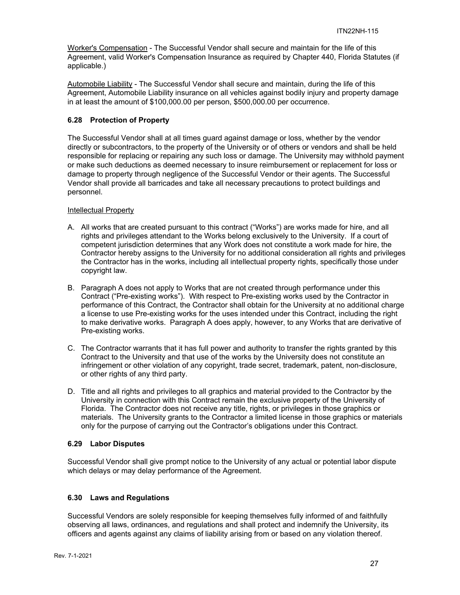Worker's Compensation - The Successful Vendor shall secure and maintain for the life of this Agreement, valid Worker's Compensation Insurance as required by Chapter 440, Florida Statutes (if applicable.)

Automobile Liability - The Successful Vendor shall secure and maintain, during the life of this Agreement, Automobile Liability insurance on all vehicles against bodily injury and property damage in at least the amount of \$100,000.00 per person, \$500,000.00 per occurrence.

## **6.28 Protection of Property**

The Successful Vendor shall at all times guard against damage or loss, whether by the vendor directly or subcontractors, to the property of the University or of others or vendors and shall be held responsible for replacing or repairing any such loss or damage. The University may withhold payment or make such deductions as deemed necessary to insure reimbursement or replacement for loss or damage to property through negligence of the Successful Vendor or their agents. The Successful Vendor shall provide all barricades and take all necessary precautions to protect buildings and personnel.

### Intellectual Property

- A. All works that are created pursuant to this contract ("Works") are works made for hire, and all rights and privileges attendant to the Works belong exclusively to the University. If a court of competent jurisdiction determines that any Work does not constitute a work made for hire, the Contractor hereby assigns to the University for no additional consideration all rights and privileges the Contractor has in the works, including all intellectual property rights, specifically those under copyright law.
- B. Paragraph A does not apply to Works that are not created through performance under this Contract ("Pre-existing works"). With respect to Pre-existing works used by the Contractor in performance of this Contract, the Contractor shall obtain for the University at no additional charge a license to use Pre-existing works for the uses intended under this Contract, including the right to make derivative works. Paragraph A does apply, however, to any Works that are derivative of Pre-existing works.
- C. The Contractor warrants that it has full power and authority to transfer the rights granted by this Contract to the University and that use of the works by the University does not constitute an infringement or other violation of any copyright, trade secret, trademark, patent, non-disclosure, or other rights of any third party.
- D. Title and all rights and privileges to all graphics and material provided to the Contractor by the University in connection with this Contract remain the exclusive property of the University of Florida. The Contractor does not receive any title, rights, or privileges in those graphics or materials. The University grants to the Contractor a limited license in those graphics or materials only for the purpose of carrying out the Contractor's obligations under this Contract.

## **6.29 Labor Disputes**

Successful Vendor shall give prompt notice to the University of any actual or potential labor dispute which delays or may delay performance of the Agreement.

## **6.30 Laws and Regulations**

Successful Vendors are solely responsible for keeping themselves fully informed of and faithfully observing all laws, ordinances, and regulations and shall protect and indemnify the University, its officers and agents against any claims of liability arising from or based on any violation thereof.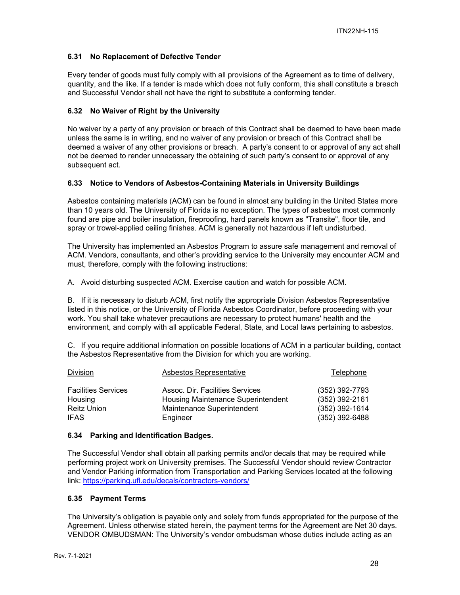## **6.31 No Replacement of Defective Tender**

Every tender of goods must fully comply with all provisions of the Agreement as to time of delivery, quantity, and the like. If a tender is made which does not fully conform, this shall constitute a breach and Successful Vendor shall not have the right to substitute a conforming tender.

## **6.32 No Waiver of Right by the University**

No waiver by a party of any provision or breach of this Contract shall be deemed to have been made unless the same is in writing, and no waiver of any provision or breach of this Contract shall be deemed a waiver of any other provisions or breach. A party's consent to or approval of any act shall not be deemed to render unnecessary the obtaining of such party's consent to or approval of any subsequent act.

### **6.33 Notice to Vendors of Asbestos-Containing Materials in University Buildings**

Asbestos containing materials (ACM) can be found in almost any building in the United States more than 10 years old. The University of Florida is no exception. The types of asbestos most commonly found are pipe and boiler insulation, fireproofing, hard panels known as "Transite", floor tile, and spray or trowel-applied ceiling finishes. ACM is generally not hazardous if left undisturbed.

The University has implemented an Asbestos Program to assure safe management and removal of ACM. Vendors, consultants, and other's providing service to the University may encounter ACM and must, therefore, comply with the following instructions:

A. Avoid disturbing suspected ACM. Exercise caution and watch for possible ACM.

B. If it is necessary to disturb ACM, first notify the appropriate Division Asbestos Representative listed in this notice, or the University of Florida Asbestos Coordinator, before proceeding with your work. You shall take whatever precautions are necessary to protect humans' health and the environment, and comply with all applicable Federal, State, and Local laws pertaining to asbestos.

C. If you require additional information on possible locations of ACM in a particular building, contact the Asbestos Representative from the Division for which you are working.

| Division                   | Asbestos Representative            | Telephone        |
|----------------------------|------------------------------------|------------------|
| <b>Facilities Services</b> | Assoc. Dir. Facilities Services    | $(352)$ 392-7793 |
| Housing                    | Housing Maintenance Superintendent | (352) 392-2161   |
| <b>Reitz Union</b>         | Maintenance Superintendent         | $(352)$ 392-1614 |
| <b>IFAS</b>                | Engineer                           | $(352)$ 392-6488 |

## **6.34 Parking and Identification Badges.**

The Successful Vendor shall obtain all parking permits and/or decals that may be required while performing project work on University premises. The Successful Vendor should review Contractor and Vendor Parking information from Transportation and Parking Services located at the following link: https://parking.ufl.edu/decals/contractors-vendors/

#### **6.35 Payment Terms**

The University's obligation is payable only and solely from funds appropriated for the purpose of the Agreement. Unless otherwise stated herein, the payment terms for the Agreement are Net 30 days. VENDOR OMBUDSMAN: The University's vendor ombudsman whose duties include acting as an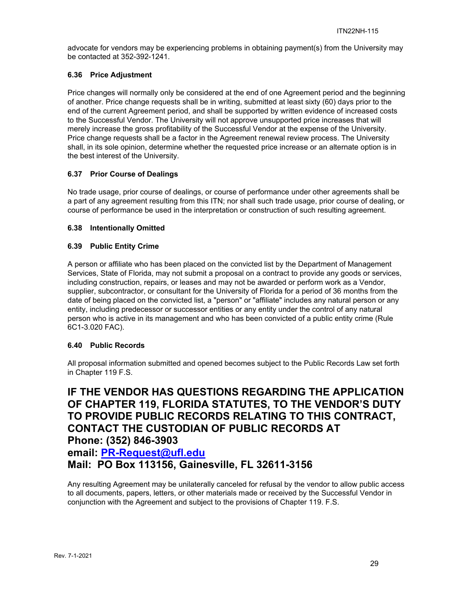advocate for vendors may be experiencing problems in obtaining payment(s) from the University may be contacted at 352-392-1241.

## **6.36 Price Adjustment**

Price changes will normally only be considered at the end of one Agreement period and the beginning of another. Price change requests shall be in writing, submitted at least sixty (60) days prior to the end of the current Agreement period, and shall be supported by written evidence of increased costs to the Successful Vendor. The University will not approve unsupported price increases that will merely increase the gross profitability of the Successful Vendor at the expense of the University. Price change requests shall be a factor in the Agreement renewal review process. The University shall, in its sole opinion, determine whether the requested price increase or an alternate option is in the best interest of the University.

### **6.37 Prior Course of Dealings**

No trade usage, prior course of dealings, or course of performance under other agreements shall be a part of any agreement resulting from this ITN; nor shall such trade usage, prior course of dealing, or course of performance be used in the interpretation or construction of such resulting agreement.

### **6.38 Intentionally Omitted**

### **6.39 Public Entity Crime**

A person or affiliate who has been placed on the convicted list by the Department of Management Services, State of Florida, may not submit a proposal on a contract to provide any goods or services, including construction, repairs, or leases and may not be awarded or perform work as a Vendor, supplier, subcontractor, or consultant for the University of Florida for a period of 36 months from the date of being placed on the convicted list, a "person" or "affiliate" includes any natural person or any entity, including predecessor or successor entities or any entity under the control of any natural person who is active in its management and who has been convicted of a public entity crime (Rule 6C1-3.020 FAC).

## **6.40 Public Records**

All proposal information submitted and opened becomes subject to the Public Records Law set forth in Chapter 119 F.S.

**IF THE VENDOR HAS QUESTIONS REGARDING THE APPLICATION OF CHAPTER 119, FLORIDA STATUTES, TO THE VENDOR'S DUTY TO PROVIDE PUBLIC RECORDS RELATING TO THIS CONTRACT, CONTACT THE CUSTODIAN OF PUBLIC RECORDS AT Phone: (352) 846-3903 email: PR-Request@ufl.edu Mail: PO Box 113156, Gainesville, FL 32611-3156**

Any resulting Agreement may be unilaterally canceled for refusal by the vendor to allow public access to all documents, papers, letters, or other materials made or received by the Successful Vendor in conjunction with the Agreement and subject to the provisions of Chapter 119. F.S.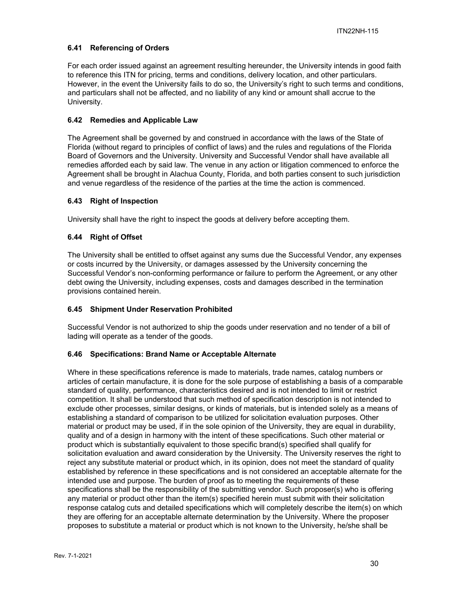## **6.41 Referencing of Orders**

For each order issued against an agreement resulting hereunder, the University intends in good faith to reference this ITN for pricing, terms and conditions, delivery location, and other particulars. However, in the event the University fails to do so, the University's right to such terms and conditions, and particulars shall not be affected, and no liability of any kind or amount shall accrue to the University.

## **6.42 Remedies and Applicable Law**

The Agreement shall be governed by and construed in accordance with the laws of the State of Florida (without regard to principles of conflict of laws) and the rules and regulations of the Florida Board of Governors and the University. University and Successful Vendor shall have available all remedies afforded each by said law. The venue in any action or litigation commenced to enforce the Agreement shall be brought in Alachua County, Florida, and both parties consent to such jurisdiction and venue regardless of the residence of the parties at the time the action is commenced.

## **6.43 Right of Inspection**

University shall have the right to inspect the goods at delivery before accepting them.

## **6.44 Right of Offset**

The University shall be entitled to offset against any sums due the Successful Vendor, any expenses or costs incurred by the University, or damages assessed by the University concerning the Successful Vendor's non-conforming performance or failure to perform the Agreement, or any other debt owing the University, including expenses, costs and damages described in the termination provisions contained herein.

## **6.45 Shipment Under Reservation Prohibited**

Successful Vendor is not authorized to ship the goods under reservation and no tender of a bill of lading will operate as a tender of the goods.

## **6.46 Specifications: Brand Name or Acceptable Alternate**

Where in these specifications reference is made to materials, trade names, catalog numbers or articles of certain manufacture, it is done for the sole purpose of establishing a basis of a comparable standard of quality, performance, characteristics desired and is not intended to limit or restrict competition. It shall be understood that such method of specification description is not intended to exclude other processes, similar designs, or kinds of materials, but is intended solely as a means of establishing a standard of comparison to be utilized for solicitation evaluation purposes. Other material or product may be used, if in the sole opinion of the University, they are equal in durability, quality and of a design in harmony with the intent of these specifications. Such other material or product which is substantially equivalent to those specific brand(s) specified shall qualify for solicitation evaluation and award consideration by the University. The University reserves the right to reject any substitute material or product which, in its opinion, does not meet the standard of quality established by reference in these specifications and is not considered an acceptable alternate for the intended use and purpose. The burden of proof as to meeting the requirements of these specifications shall be the responsibility of the submitting vendor. Such proposer(s) who is offering any material or product other than the item(s) specified herein must submit with their solicitation response catalog cuts and detailed specifications which will completely describe the item(s) on which they are offering for an acceptable alternate determination by the University. Where the proposer proposes to substitute a material or product which is not known to the University, he/she shall be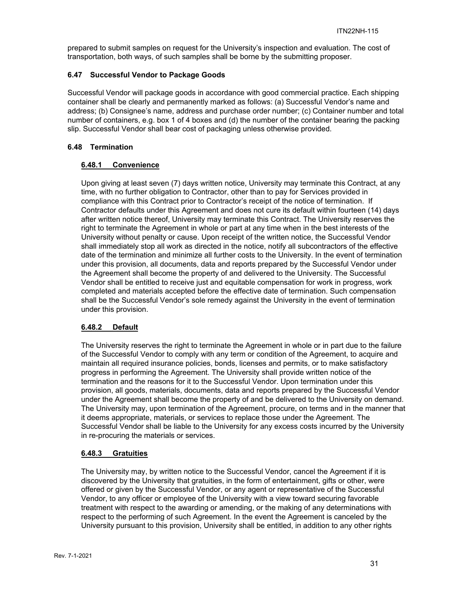prepared to submit samples on request for the University's inspection and evaluation. The cost of transportation, both ways, of such samples shall be borne by the submitting proposer.

## **6.47 Successful Vendor to Package Goods**

Successful Vendor will package goods in accordance with good commercial practice. Each shipping container shall be clearly and permanently marked as follows: (a) Successful Vendor's name and address; (b) Consignee's name, address and purchase order number; (c) Container number and total number of containers, e.g. box 1 of 4 boxes and (d) the number of the container bearing the packing slip. Successful Vendor shall bear cost of packaging unless otherwise provided.

## **6.48 Termination**

## **6.48.1 Convenience**

Upon giving at least seven (7) days written notice, University may terminate this Contract, at any time, with no further obligation to Contractor, other than to pay for Services provided in compliance with this Contract prior to Contractor's receipt of the notice of termination. If Contractor defaults under this Agreement and does not cure its default within fourteen (14) days after written notice thereof, University may terminate this Contract. The University reserves the right to terminate the Agreement in whole or part at any time when in the best interests of the University without penalty or cause. Upon receipt of the written notice, the Successful Vendor shall immediately stop all work as directed in the notice, notify all subcontractors of the effective date of the termination and minimize all further costs to the University. In the event of termination under this provision, all documents, data and reports prepared by the Successful Vendor under the Agreement shall become the property of and delivered to the University. The Successful Vendor shall be entitled to receive just and equitable compensation for work in progress, work completed and materials accepted before the effective date of termination. Such compensation shall be the Successful Vendor's sole remedy against the University in the event of termination under this provision.

## **6.48.2 Default**

The University reserves the right to terminate the Agreement in whole or in part due to the failure of the Successful Vendor to comply with any term or condition of the Agreement, to acquire and maintain all required insurance policies, bonds, licenses and permits, or to make satisfactory progress in performing the Agreement. The University shall provide written notice of the termination and the reasons for it to the Successful Vendor. Upon termination under this provision, all goods, materials, documents, data and reports prepared by the Successful Vendor under the Agreement shall become the property of and be delivered to the University on demand. The University may, upon termination of the Agreement, procure, on terms and in the manner that it deems appropriate, materials, or services to replace those under the Agreement. The Successful Vendor shall be liable to the University for any excess costs incurred by the University in re-procuring the materials or services.

## **6.48.3 Gratuities**

The University may, by written notice to the Successful Vendor, cancel the Agreement if it is discovered by the University that gratuities, in the form of entertainment, gifts or other, were offered or given by the Successful Vendor, or any agent or representative of the Successful Vendor, to any officer or employee of the University with a view toward securing favorable treatment with respect to the awarding or amending, or the making of any determinations with respect to the performing of such Agreement. In the event the Agreement is canceled by the University pursuant to this provision, University shall be entitled, in addition to any other rights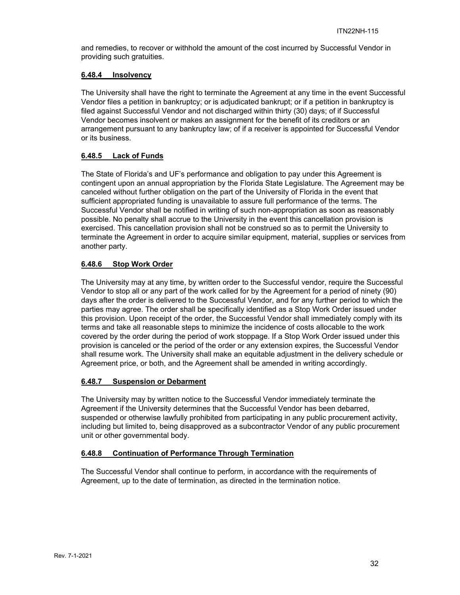and remedies, to recover or withhold the amount of the cost incurred by Successful Vendor in providing such gratuities.

#### **6.48.4 Insolvency**

The University shall have the right to terminate the Agreement at any time in the event Successful Vendor files a petition in bankruptcy; or is adjudicated bankrupt; or if a petition in bankruptcy is filed against Successful Vendor and not discharged within thirty (30) days; of if Successful Vendor becomes insolvent or makes an assignment for the benefit of its creditors or an arrangement pursuant to any bankruptcy law; of if a receiver is appointed for Successful Vendor or its business.

## **6.48.5 Lack of Funds**

The State of Florida's and UF's performance and obligation to pay under this Agreement is contingent upon an annual appropriation by the Florida State Legislature. The Agreement may be canceled without further obligation on the part of the University of Florida in the event that sufficient appropriated funding is unavailable to assure full performance of the terms. The Successful Vendor shall be notified in writing of such non-appropriation as soon as reasonably possible. No penalty shall accrue to the University in the event this cancellation provision is exercised. This cancellation provision shall not be construed so as to permit the University to terminate the Agreement in order to acquire similar equipment, material, supplies or services from another party.

## **6.48.6 Stop Work Order**

The University may at any time, by written order to the Successful vendor, require the Successful Vendor to stop all or any part of the work called for by the Agreement for a period of ninety (90) days after the order is delivered to the Successful Vendor, and for any further period to which the parties may agree. The order shall be specifically identified as a Stop Work Order issued under this provision. Upon receipt of the order, the Successful Vendor shall immediately comply with its terms and take all reasonable steps to minimize the incidence of costs allocable to the work covered by the order during the period of work stoppage. If a Stop Work Order issued under this provision is canceled or the period of the order or any extension expires, the Successful Vendor shall resume work. The University shall make an equitable adjustment in the delivery schedule or Agreement price, or both, and the Agreement shall be amended in writing accordingly.

## **6.48.7 Suspension or Debarment**

The University may by written notice to the Successful Vendor immediately terminate the Agreement if the University determines that the Successful Vendor has been debarred, suspended or otherwise lawfully prohibited from participating in any public procurement activity, including but limited to, being disapproved as a subcontractor Vendor of any public procurement unit or other governmental body.

## **6.48.8 Continuation of Performance Through Termination**

The Successful Vendor shall continue to perform, in accordance with the requirements of Agreement, up to the date of termination, as directed in the termination notice.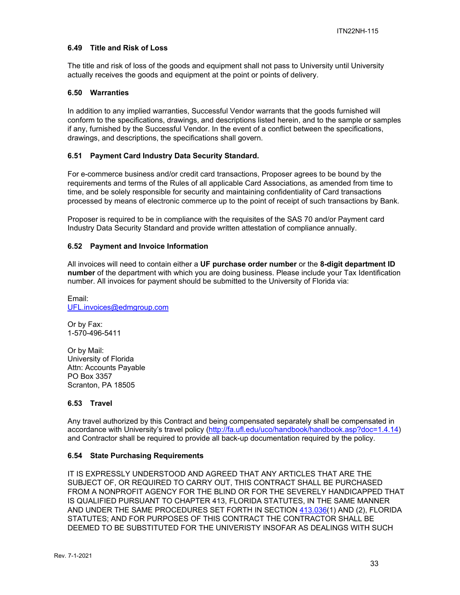#### **6.49 Title and Risk of Loss**

The title and risk of loss of the goods and equipment shall not pass to University until University actually receives the goods and equipment at the point or points of delivery.

#### **6.50 Warranties**

In addition to any implied warranties, Successful Vendor warrants that the goods furnished will conform to the specifications, drawings, and descriptions listed herein, and to the sample or samples if any, furnished by the Successful Vendor. In the event of a conflict between the specifications, drawings, and descriptions, the specifications shall govern.

#### **6.51 Payment Card Industry Data Security Standard.**

For e-commerce business and/or credit card transactions, Proposer agrees to be bound by the requirements and terms of the Rules of all applicable Card Associations, as amended from time to time, and be solely responsible for security and maintaining confidentiality of Card transactions processed by means of electronic commerce up to the point of receipt of such transactions by Bank.

Proposer is required to be in compliance with the requisites of the SAS 70 and/or Payment card Industry Data Security Standard and provide written attestation of compliance annually.

#### **6.52 Payment and Invoice Information**

All invoices will need to contain either a **UF purchase order number** or the **8-digit department ID number** of the department with which you are doing business. Please include your Tax Identification number. All invoices for payment should be submitted to the University of Florida via:

Email: UFL.invoices@edmgroup.com

Or by Fax: 1-570-496-5411

Or by Mail: University of Florida Attn: Accounts Payable PO Box 3357 Scranton, PA 18505

#### **6.53 Travel**

Any travel authorized by this Contract and being compensated separately shall be compensated in accordance with University's travel policy (http://fa.ufl.edu/uco/handbook/handbook.asp?doc=1.4.14) and Contractor shall be required to provide all back-up documentation required by the policy.

#### **6.54 State Purchasing Requirements**

IT IS EXPRESSLY UNDERSTOOD AND AGREED THAT ANY ARTICLES THAT ARE THE SUBJECT OF, OR REQUIRED TO CARRY OUT, THIS CONTRACT SHALL BE PURCHASED FROM A NONPROFIT AGENCY FOR THE BLIND OR FOR THE SEVERELY HANDICAPPED THAT IS QUALIFIED PURSUANT TO CHAPTER 413, FLORIDA STATUTES, IN THE SAME MANNER AND UNDER THE SAME PROCEDURES SET FORTH IN SECTION 413.036(1) AND (2), FLORIDA STATUTES; AND FOR PURPOSES OF THIS CONTRACT THE CONTRACTOR SHALL BE DEEMED TO BE SUBSTITUTED FOR THE UNIVERISTY INSOFAR AS DEALINGS WITH SUCH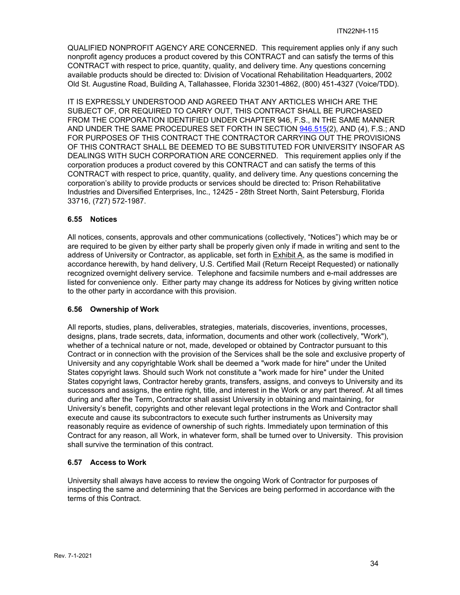QUALIFIED NONPROFIT AGENCY ARE CONCERNED. This requirement applies only if any such nonprofit agency produces a product covered by this CONTRACT and can satisfy the terms of this CONTRACT with respect to price, quantity, quality, and delivery time. Any questions concerning available products should be directed to: Division of Vocational Rehabilitation Headquarters, 2002 Old St. Augustine Road, Building A, Tallahassee, Florida 32301-4862, (800) 451-4327 (Voice/TDD).

IT IS EXPRESSLY UNDERSTOOD AND AGREED THAT ANY ARTICLES WHICH ARE THE SUBJECT OF, OR REQUIRED TO CARRY OUT, THIS CONTRACT SHALL BE PURCHASED FROM THE CORPORATION IDENTIFIED UNDER CHAPTER 946, F.S., IN THE SAME MANNER AND UNDER THE SAME PROCEDURES SET FORTH IN SECTION 946.515(2), AND (4), F.S.; AND FOR PURPOSES OF THIS CONTRACT THE CONTRACTOR CARRYING OUT THE PROVISIONS OF THIS CONTRACT SHALL BE DEEMED TO BE SUBSTITUTED FOR UNIVERSITY INSOFAR AS DEALINGS WITH SUCH CORPORATION ARE CONCERNED. This requirement applies only if the corporation produces a product covered by this CONTRACT and can satisfy the terms of this CONTRACT with respect to price, quantity, quality, and delivery time. Any questions concerning the corporation's ability to provide products or services should be directed to: Prison Rehabilitative Industries and Diversified Enterprises, Inc., 12425 - 28th Street North, Saint Petersburg, Florida 33716, (727) 572-1987.

### **6.55 Notices**

All notices, consents, approvals and other communications (collectively, "Notices") which may be or are required to be given by either party shall be properly given only if made in writing and sent to the address of University or Contractor, as applicable, set forth in Exhibit A, as the same is modified in accordance herewith, by hand delivery, U.S. Certified Mail (Return Receipt Requested) or nationally recognized overnight delivery service. Telephone and facsimile numbers and e-mail addresses are listed for convenience only. Either party may change its address for Notices by giving written notice to the other party in accordance with this provision.

## **6.56 Ownership of Work**

All reports, studies, plans, deliverables, strategies, materials, discoveries, inventions, processes, designs, plans, trade secrets, data, information, documents and other work (collectively, "Work"), whether of a technical nature or not, made, developed or obtained by Contractor pursuant to this Contract or in connection with the provision of the Services shall be the sole and exclusive property of University and any copyrightable Work shall be deemed a "work made for hire" under the United States copyright laws. Should such Work not constitute a "work made for hire" under the United States copyright laws, Contractor hereby grants, transfers, assigns, and conveys to University and its successors and assigns, the entire right, title, and interest in the Work or any part thereof. At all times during and after the Term, Contractor shall assist University in obtaining and maintaining, for University's benefit, copyrights and other relevant legal protections in the Work and Contractor shall execute and cause its subcontractors to execute such further instruments as University may reasonably require as evidence of ownership of such rights. Immediately upon termination of this Contract for any reason, all Work, in whatever form, shall be turned over to University. This provision shall survive the termination of this contract.

## **6.57 Access to Work**

University shall always have access to review the ongoing Work of Contractor for purposes of inspecting the same and determining that the Services are being performed in accordance with the terms of this Contract.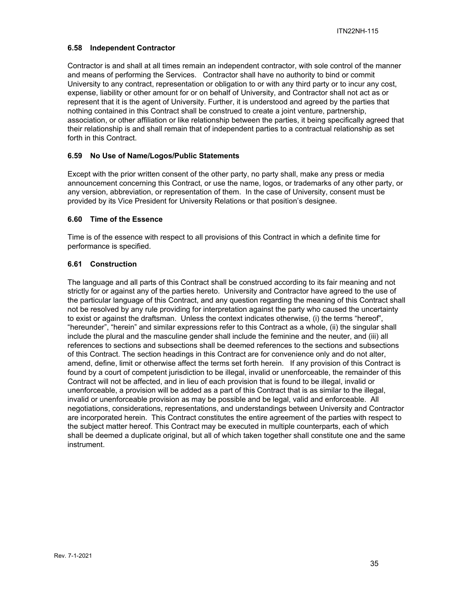## **6.58 Independent Contractor**

Contractor is and shall at all times remain an independent contractor, with sole control of the manner and means of performing the Services. Contractor shall have no authority to bind or commit University to any contract, representation or obligation to or with any third party or to incur any cost, expense, liability or other amount for or on behalf of University, and Contractor shall not act as or represent that it is the agent of University. Further, it is understood and agreed by the parties that nothing contained in this Contract shall be construed to create a joint venture, partnership, association, or other affiliation or like relationship between the parties, it being specifically agreed that their relationship is and shall remain that of independent parties to a contractual relationship as set forth in this Contract.

### **6.59 No Use of Name/Logos/Public Statements**

Except with the prior written consent of the other party, no party shall, make any press or media announcement concerning this Contract, or use the name, logos, or trademarks of any other party, or any version, abbreviation, or representation of them. In the case of University, consent must be provided by its Vice President for University Relations or that position's designee.

### **6.60 Time of the Essence**

Time is of the essence with respect to all provisions of this Contract in which a definite time for performance is specified.

### **6.61 Construction**

The language and all parts of this Contract shall be construed according to its fair meaning and not strictly for or against any of the parties hereto. University and Contractor have agreed to the use of the particular language of this Contract, and any question regarding the meaning of this Contract shall not be resolved by any rule providing for interpretation against the party who caused the uncertainty to exist or against the draftsman. Unless the context indicates otherwise, (i) the terms "hereof", "hereunder", "herein" and similar expressions refer to this Contract as a whole, (ii) the singular shall include the plural and the masculine gender shall include the feminine and the neuter, and (iii) all references to sections and subsections shall be deemed references to the sections and subsections of this Contract. The section headings in this Contract are for convenience only and do not alter, amend, define, limit or otherwise affect the terms set forth herein. If any provision of this Contract is found by a court of competent jurisdiction to be illegal, invalid or unenforceable, the remainder of this Contract will not be affected, and in lieu of each provision that is found to be illegal, invalid or unenforceable, a provision will be added as a part of this Contract that is as similar to the illegal, invalid or unenforceable provision as may be possible and be legal, valid and enforceable. All negotiations, considerations, representations, and understandings between University and Contractor are incorporated herein. This Contract constitutes the entire agreement of the parties with respect to the subject matter hereof. This Contract may be executed in multiple counterparts, each of which shall be deemed a duplicate original, but all of which taken together shall constitute one and the same instrument.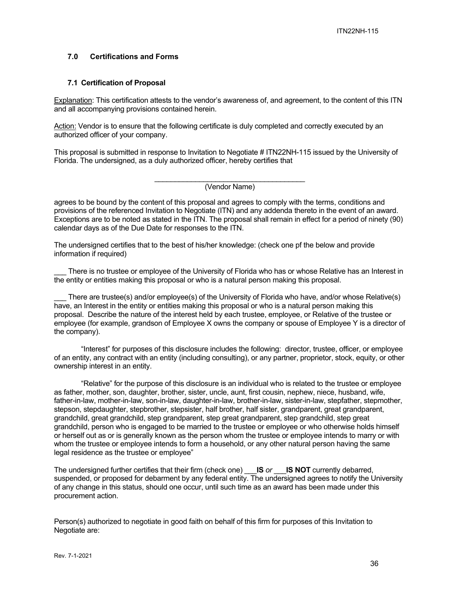### **7.0 Certifications and Forms**

#### **7.1 Certification of Proposal**

Explanation: This certification attests to the vendor's awareness of, and agreement, to the content of this ITN and all accompanying provisions contained herein.

Action: Vendor is to ensure that the following certificate is duly completed and correctly executed by an authorized officer of your company.

This proposal is submitted in response to Invitation to Negotiate # ITN22NH-115 issued by the University of Florida. The undersigned, as a duly authorized officer, hereby certifies that

(Vendor Name)

agrees to be bound by the content of this proposal and agrees to comply with the terms, conditions and provisions of the referenced Invitation to Negotiate (ITN) and any addenda thereto in the event of an award. Exceptions are to be noted as stated in the ITN. The proposal shall remain in effect for a period of ninety (90) calendar days as of the Due Date for responses to the ITN.

The undersigned certifies that to the best of his/her knowledge: (check one pf the below and provide information if required)

There is no trustee or employee of the University of Florida who has or whose Relative has an Interest in the entity or entities making this proposal or who is a natural person making this proposal.

There are trustee(s) and/or employee(s) of the University of Florida who have, and/or whose Relative(s) have, an Interest in the entity or entities making this proposal or who is a natural person making this proposal. Describe the nature of the interest held by each trustee, employee, or Relative of the trustee or employee (for example, grandson of Employee X owns the company or spouse of Employee Y is a director of the company).

"Interest" for purposes of this disclosure includes the following: director, trustee, officer, or employee of an entity, any contract with an entity (including consulting), or any partner, proprietor, stock, equity, or other ownership interest in an entity.

"Relative" for the purpose of this disclosure is an individual who is related to the trustee or employee as father, mother, son, daughter, brother, sister, uncle, aunt, first cousin, nephew, niece, husband, wife, father-in-law, mother-in-law, son-in-law, daughter-in-law, brother-in-law, sister-in-law, stepfather, stepmother, stepson, stepdaughter, stepbrother, stepsister, half brother, half sister, grandparent, great grandparent, grandchild, great grandchild, step grandparent, step great grandparent, step grandchild, step great grandchild, person who is engaged to be married to the trustee or employee or who otherwise holds himself or herself out as or is generally known as the person whom the trustee or employee intends to marry or with whom the trustee or employee intends to form a household, or any other natural person having the same legal residence as the trustee or employee"

The undersigned further certifies that their firm (check one) \_\_\_**IS** *or* \_\_\_**IS NOT** currently debarred, suspended, or proposed for debarment by any federal entity. The undersigned agrees to notify the University of any change in this status, should one occur, until such time as an award has been made under this procurement action.

Person(s) authorized to negotiate in good faith on behalf of this firm for purposes of this Invitation to Negotiate are: